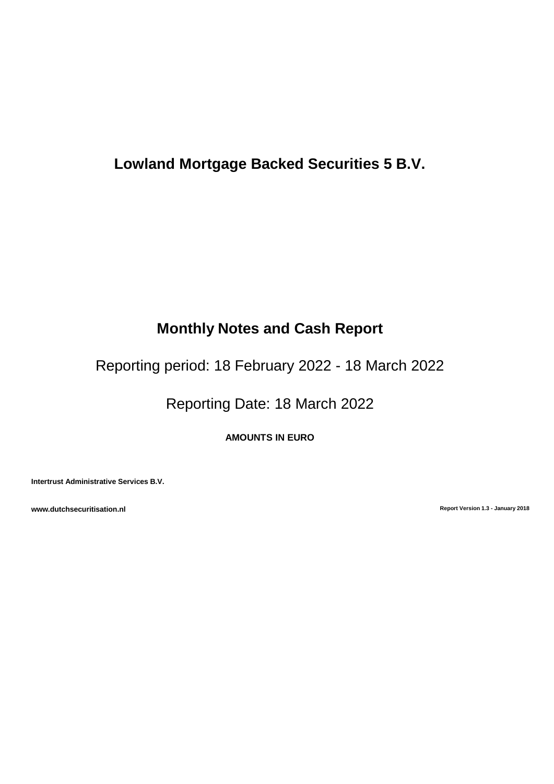# **Lowland Mortgage Backed Securities 5 B.V.**

# **Monthly Notes and Cash Report**

Reporting period: 18 February 2022 - 18 March 2022

Reporting Date: 18 March 2022

**AMOUNTS IN EURO**

**Intertrust Administrative Services B.V.**

**www.dutchsecuritisation.nl Report Version 1.3 - January 2018**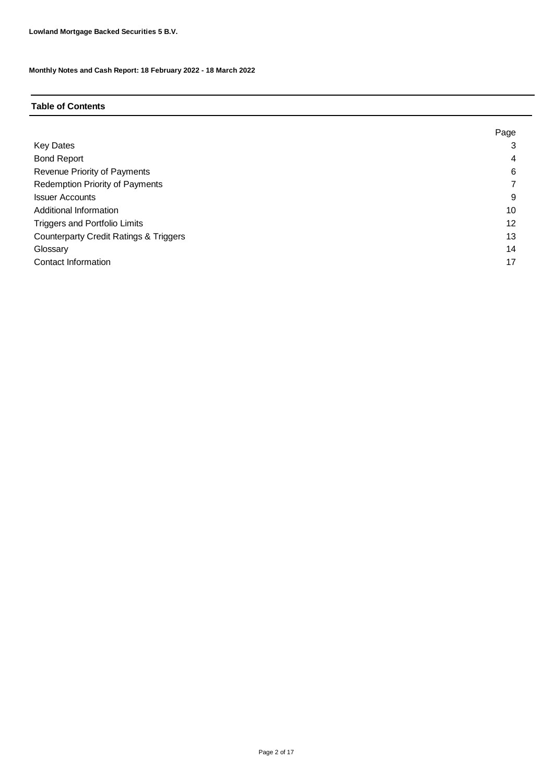# **Table of Contents**

|                                                   | Page |
|---------------------------------------------------|------|
| <b>Key Dates</b>                                  | 3    |
| <b>Bond Report</b>                                | 4    |
| Revenue Priority of Payments                      | 6    |
| <b>Redemption Priority of Payments</b>            |      |
| <b>Issuer Accounts</b>                            | 9    |
| Additional Information                            | 10   |
| <b>Triggers and Portfolio Limits</b>              | 12   |
| <b>Counterparty Credit Ratings &amp; Triggers</b> | 13   |
| Glossary                                          | 14   |
| Contact Information                               | 17   |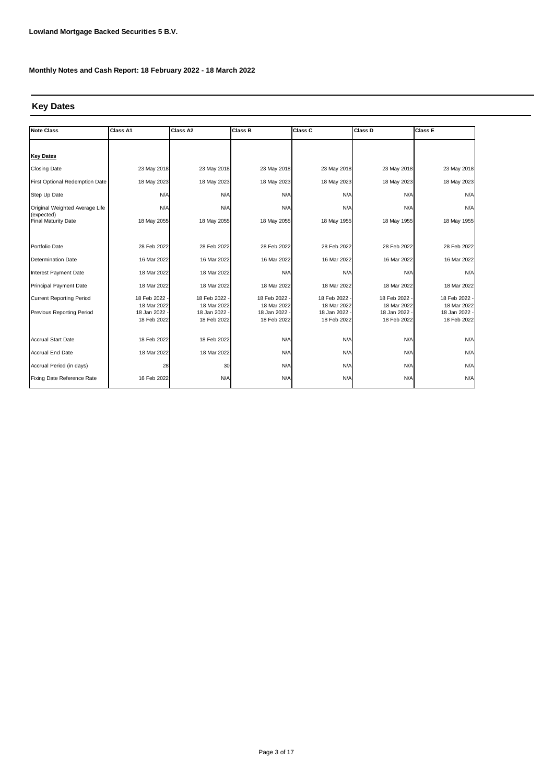# **Key Dates**

| <b>Note Class</b>                        | Class A1                   | Class A2                   | <b>Class B</b>             | Class C                    | Class D                    | <b>Class E</b>               |
|------------------------------------------|----------------------------|----------------------------|----------------------------|----------------------------|----------------------------|------------------------------|
|                                          |                            |                            |                            |                            |                            |                              |
| <b>Key Dates</b>                         |                            |                            |                            |                            |                            |                              |
| <b>Closing Date</b>                      | 23 May 2018                | 23 May 2018                | 23 May 2018                | 23 May 2018                | 23 May 2018                | 23 May 2018                  |
| First Optional Redemption Date           | 18 May 2023                | 18 May 2023                | 18 May 2023                | 18 May 2023                | 18 May 2023                | 18 May 2023                  |
| Step Up Date                             | N/A                        | N/A                        | N/A                        | N/A                        | N/A                        | N/A                          |
| Original Weighted Average Life           | N/A                        | N/A                        | N/A                        | N/A                        | N/A                        | N/A                          |
| (expected)<br><b>Final Maturity Date</b> | 18 May 2055                | 18 May 2055                | 18 May 2055                | 18 May 1955                | 18 May 1955                | 18 May 1955                  |
|                                          |                            |                            |                            |                            |                            |                              |
| Portfolio Date                           | 28 Feb 2022                | 28 Feb 2022                | 28 Feb 2022                | 28 Feb 2022                | 28 Feb 2022                | 28 Feb 2022                  |
| Determination Date                       | 16 Mar 2022                | 16 Mar 2022                | 16 Mar 2022                | 16 Mar 2022                | 16 Mar 2022                | 16 Mar 2022                  |
| Interest Payment Date                    | 18 Mar 2022                | 18 Mar 2022                | N/A                        | N/A                        | N/A                        | N/A                          |
| <b>Principal Payment Date</b>            | 18 Mar 2022                | 18 Mar 2022                | 18 Mar 2022                | 18 Mar 2022                | 18 Mar 2022                | 18 Mar 2022                  |
| <b>Current Reporting Period</b>          | 18 Feb 2022                | 18 Feb 2022                | 18 Feb 2022                | 18 Feb 2022                | 18 Feb 2022                | 18 Feb 2022 -                |
| Previous Reporting Period                | 18 Mar 2022<br>18 Jan 2022 | 18 Mar 2022<br>18 Jan 2022 | 18 Mar 2022<br>18 Jan 2022 | 18 Mar 2022<br>18 Jan 2022 | 18 Mar 2022<br>18 Jan 2022 | 18 Mar 2022<br>18 Jan 2022 - |
|                                          | 18 Feb 2022                | 18 Feb 2022                | 18 Feb 2022                | 18 Feb 2022                | 18 Feb 2022                | 18 Feb 2022                  |
|                                          |                            |                            |                            |                            |                            |                              |
| <b>Accrual Start Date</b>                | 18 Feb 2022                | 18 Feb 2022                | N/A                        | N/A                        | N/A                        | N/A                          |
| <b>Accrual End Date</b>                  | 18 Mar 2022                | 18 Mar 2022                | N/A                        | N/A                        | N/A                        | N/A                          |
| Accrual Period (in days)                 | 28                         | 30                         | N/A                        | N/A                        | N/A                        | N/A                          |
| Fixing Date Reference Rate               | 16 Feb 2022                | N/A                        | N/A                        | N/A                        | N/A                        | N/A                          |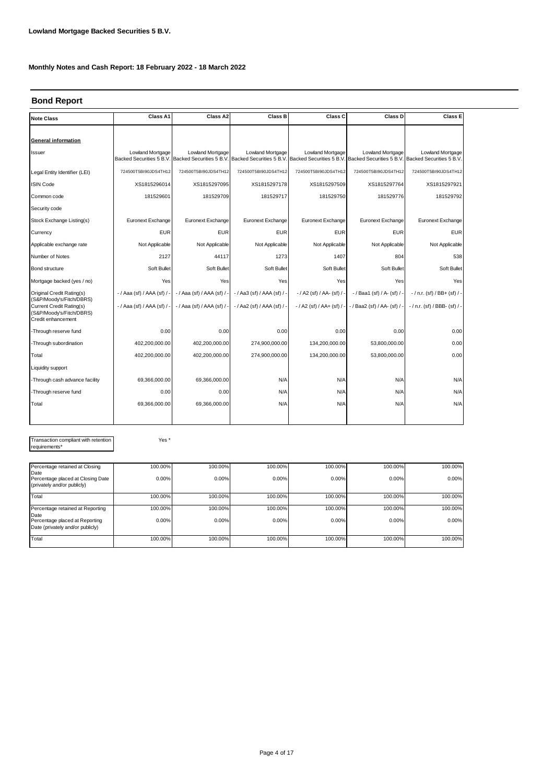# **Bond Report**

| <b>Note Class</b>                                                                                             | Class A1                            | Class A2                    | <b>Class B</b>                                                                                                                                                                   | Class C                      | Class D                       | <b>Class E</b>                  |
|---------------------------------------------------------------------------------------------------------------|-------------------------------------|-----------------------------|----------------------------------------------------------------------------------------------------------------------------------------------------------------------------------|------------------------------|-------------------------------|---------------------------------|
|                                                                                                               |                                     |                             |                                                                                                                                                                                  |                              |                               |                                 |
| General information                                                                                           |                                     |                             |                                                                                                                                                                                  |                              |                               |                                 |
| <b>Issuer</b>                                                                                                 | <b>Lowland Mortgage</b>             | Lowland Mortgage            | <b>Lowland Mortgage</b><br>Backed Securities 5 B.V. Backed Securities 5 B.V. Backed Securities 5 B.V. Backed Securities 5 B.V. Backed Securities 5 B.V. Backed Securities 5 B.V. | Lowland Mortgage             | Lowland Mortgage              | <b>Lowland Mortgage</b>         |
| Legal Entity Identifier (LEI)                                                                                 | 724500T5BI90JDS4TH12                | 724500T5BI90JDS4TH12        | 724500T5BI90JDS4TH12                                                                                                                                                             | 724500T5BI90JDS4TH12         | 724500T5BI90JDS4TH12          | 724500T5BI90JDS4TH12            |
| <b>ISIN Code</b>                                                                                              | XS1815296014                        | XS1815297095                | XS1815297178                                                                                                                                                                     | XS1815297509                 | XS1815297764                  | XS1815297921                    |
| Common code                                                                                                   | 181529601                           | 181529709                   | 181529717                                                                                                                                                                        | 181529750                    | 181529776                     | 181529792                       |
| Security code                                                                                                 |                                     |                             |                                                                                                                                                                                  |                              |                               |                                 |
| Stock Exchange Listing(s)                                                                                     | <b>Euronext Exchange</b>            | <b>Euronext Exchange</b>    | Euronext Exchange                                                                                                                                                                | <b>Euronext Exchange</b>     | <b>Euronext Exchange</b>      | Euronext Exchange               |
| Currency                                                                                                      | <b>EUR</b>                          | <b>EUR</b>                  | <b>EUR</b>                                                                                                                                                                       | <b>EUR</b>                   | <b>EUR</b>                    | <b>EUR</b>                      |
| Applicable exchange rate                                                                                      | Not Applicable                      | Not Applicable              | Not Applicable                                                                                                                                                                   | Not Applicable               | Not Applicable                | Not Applicable                  |
| Number of Notes                                                                                               | 2127                                | 44117                       | 1273                                                                                                                                                                             | 1407                         | 804                           | 538                             |
| <b>Bond structure</b>                                                                                         | Soft Bullet                         | Soft Bullet                 | Soft Bullet                                                                                                                                                                      | Soft Bullet                  | Soft Bullet                   | Soft Bullet                     |
| Mortgage backed (yes / no)                                                                                    | Yes                                 | Yes                         | Yes                                                                                                                                                                              | Yes                          | Yes                           | Yes                             |
| Original Credit Rating(s)                                                                                     | $-$ / Aaa (sf) / AAA (sf) / $\cdot$ | - / Aaa (sf) / AAA (sf) / - | -/Aa3 (sf) / AAA (sf) / -                                                                                                                                                        | $-$ / A2 (sf) / AA- (sf) / - | $-$ / Baa1 (sf) / A- (sf) / - | $-$ / n.r. (sf) / BB+ (sf) / -  |
| (S&P/Moody's/Fitch/DBRS)<br><b>Current Credit Rating(s)</b><br>(S&P/Moody's/Fitch/DBRS)<br>Credit enhancement | - / Aaa (sf) / AAA (sf) / -         | -/ Aaa (sf) / AAA (sf) / -  | $-$ / Aa2 (sf) / AAA (sf) / -                                                                                                                                                    | $-$ / A2 (sf) / AA+ (sf) / - | -/Baa2 (sf) / AA- (sf) / -    | $-$ / n.r. (sf) / BBB- (sf) / - |
| -Through reserve fund                                                                                         | 0.00                                | 0.00                        | 0.00                                                                                                                                                                             | 0.00                         | 0.00                          | 0.00                            |
| -Through subordination                                                                                        | 402,200,000.00                      | 402,200,000.00              | 274,900,000.00                                                                                                                                                                   | 134,200,000.00               | 53,800,000.00                 | 0.00                            |
| Total                                                                                                         | 402,200,000.00                      | 402,200,000.00              | 274.900.000.00                                                                                                                                                                   | 134,200,000.00               | 53,800,000.00                 | 0.00                            |
| Liquidity support                                                                                             |                                     |                             |                                                                                                                                                                                  |                              |                               |                                 |
| -Through cash advance facility                                                                                | 69,366,000.00                       | 69,366,000.00               | N/A                                                                                                                                                                              | N/A                          | N/A                           | N/A                             |
| -Through reserve fund                                                                                         | 0.00                                | 0.00                        | N/A                                                                                                                                                                              | N/A                          | N/A                           | N/A                             |
| Total                                                                                                         | 69,366,000.00                       | 69,366,000.00               | N/A                                                                                                                                                                              | N/A                          | N/A                           | N/A                             |
|                                                                                                               |                                     |                             |                                                                                                                                                                                  |                              |                               |                                 |

Transaction compliant with retention requirements\*

Yes \*

| Percentage retained at Closing                                             | 100.00% | 100.00% | 100.00% | 100.00% | 100.00% | 100.00% |
|----------------------------------------------------------------------------|---------|---------|---------|---------|---------|---------|
| Date<br>Percentage placed at Closing Date<br>(privately and/or publicly)   | 0.00%   | 0.00%   | 0.00%   | 0.00%   | 0.00%   | 0.00%   |
| Total                                                                      | 100.00% | 100.00% | 100.00% | 100.00% | 100.00% | 100.00% |
| Percentage retained at Reporting                                           | 100.00% | 100.00% | 100.00% | 100.00% | 100.00% | 100.00% |
| Date<br>Percentage placed at Reporting<br>Date (privately and/or publicly) | 0.00%   | 0.00%   | 0.00%   | 0.00%   | 0.00%   | 0.00%   |
| Total                                                                      | 100.00% | 100.00% | 100.00% | 100.00% | 100.00% | 100.00% |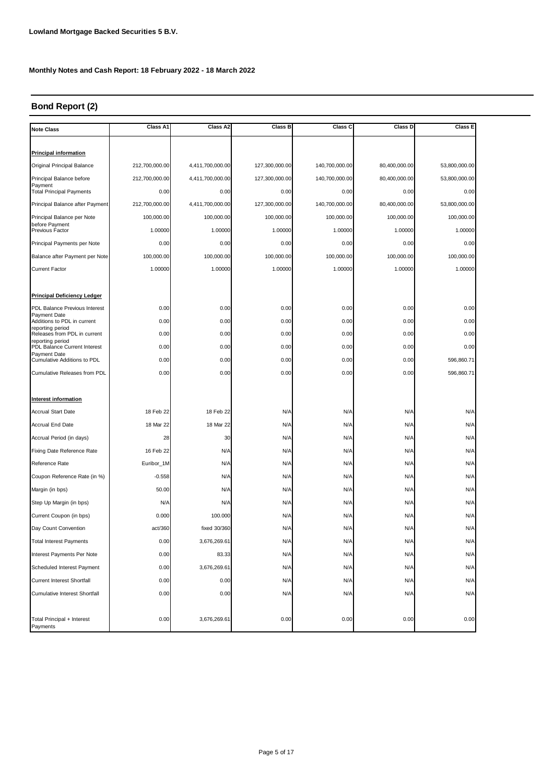# **Bond Report (2)**

| <b>Note Class</b>                                | Class A1       | Class A2         | <b>Class B</b> | Class C        | Class D       | Class E       |
|--------------------------------------------------|----------------|------------------|----------------|----------------|---------------|---------------|
|                                                  |                |                  |                |                |               |               |
| <b>Principal information</b>                     |                |                  |                |                |               |               |
| Original Principal Balance                       | 212,700,000.00 | 4,411,700,000.00 | 127,300,000.00 | 140,700,000.00 | 80,400,000.00 | 53,800,000.00 |
| Principal Balance before                         | 212,700,000.00 | 4,411,700,000.00 | 127,300,000.00 | 140,700,000.00 | 80,400,000.00 | 53,800,000.00 |
| Payment<br><b>Total Principal Payments</b>       | 0.00           | 0.00             | 0.00           | 0.00           | 0.00          | 0.00          |
| Principal Balance after Payment                  | 212,700,000.00 | 4,411,700,000.00 | 127,300,000.00 | 140,700,000.00 | 80,400,000.00 | 53,800,000.00 |
| Principal Balance per Note                       | 100,000.00     | 100,000.00       | 100,000.00     | 100,000.00     | 100,000.00    | 100,000.00    |
| before Payment<br>Previous Factor                | 1.00000        | 1.00000          | 1.00000        | 1.00000        | 1.00000       | 1.00000       |
| Principal Payments per Note                      | 0.00           | 0.00             | 0.00           | 0.00           | 0.00          | 0.00          |
| Balance after Payment per Note                   | 100,000.00     | 100,000.00       | 100,000.00     | 100,000.00     | 100,000.00    | 100,000.00    |
| <b>Current Factor</b>                            | 1.00000        | 1.00000          | 1.00000        | 1.00000        | 1.00000       | 1.00000       |
|                                                  |                |                  |                |                |               |               |
| Principal Deficiency Ledger                      |                |                  |                |                |               |               |
| PDL Balance Previous Interest                    | 0.00           | 0.00             | 0.00           | 0.00           | 0.00          | 0.00          |
| Payment Date<br>Additions to PDL in current      | 0.00           | 0.00             | 0.00           | 0.00           | 0.00          | 0.00          |
| reporting period<br>Releases from PDL in current | 0.00           | 0.00             | 0.00           | 0.00           | 0.00          | 0.00          |
| reporting period<br>PDL Balance Current Interest | 0.00           | 0.00             | 0.00           | 0.00           | 0.00          | 0.00          |
| Payment Date<br>Cumulative Additions to PDL      | 0.00           | 0.00             | 0.00           | 0.00           | 0.00          | 596,860.71    |
| <b>Cumulative Releases from PDL</b>              | 0.00           | 0.00             | 0.00           | 0.00           | 0.00          | 596,860.71    |
|                                                  |                |                  |                |                |               |               |
| Interest information                             |                |                  |                |                |               |               |
| <b>Accrual Start Date</b>                        | 18 Feb 22      | 18 Feb 22        | N/A            | N/A            | N/A           | N/A           |
| <b>Accrual End Date</b>                          | 18 Mar 22      | 18 Mar 22        | N/A            | N/A            | N/A           | N/A           |
| Accrual Period (in days)                         | 28             | 30               | N/A            | N/A            | N/A           | N/A           |
| Fixing Date Reference Rate                       | 16 Feb 22      | N/A              | N/A            | N/A            | N/A           | N/A           |
| Reference Rate                                   | Euribor_1M     | N/A              | N/A            | N/A            | N/A           | N/A           |
| Coupon Reference Rate (in %)                     | $-0.558$       | N/A              | N/A            | N/A            | N/A           | N/A           |
| Margin (in bps)                                  | 50.00          | N/A              | N/A            | N/A            | N/A           | N/A           |
| Step Up Margin (in bps)                          | N/A            | N/A              | N/A            | N/A            | N/A           | N/A           |
| Current Coupon (in bps)                          | 0.000          | 100.000          | N/A            | N/A            | N/A           | N/A           |
| Day Count Convention                             | act/360        | fixed 30/360     | N/A            | N/A            | N/A           | N/A           |
| <b>Total Interest Payments</b>                   | 0.00           | 3,676,269.61     | N/A            | N/A            | N/A           | N/A           |
| Interest Payments Per Note                       | 0.00           | 83.33            | N/A            | N/A            | N/A           | N/A           |
| Scheduled Interest Payment                       | 0.00           | 3,676,269.61     | N/A            | N/A            | N/A           | N/A           |
| Current Interest Shortfall                       | 0.00           |                  |                |                | N/A           | N/A           |
| Cumulative Interest Shortfall                    | 0.00           | 0.00<br>0.00     | N/A<br>N/A     | N/A<br>N/A     | N/A           | N/A           |
|                                                  |                |                  |                |                |               |               |
| Total Principal + Interest<br>Payments           | 0.00           | 3,676,269.61     | 0.00           | 0.00           | 0.00          | 0.00          |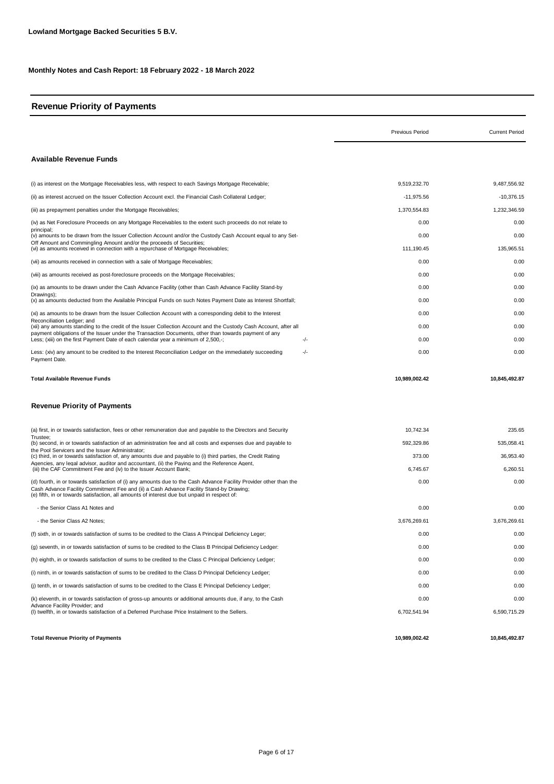# **Revenue Priority of Payments**

|                                                                                                                                                                                                                                                                                                               | <b>Previous Period</b> | <b>Current Period</b> |
|---------------------------------------------------------------------------------------------------------------------------------------------------------------------------------------------------------------------------------------------------------------------------------------------------------------|------------------------|-----------------------|
| <b>Available Revenue Funds</b>                                                                                                                                                                                                                                                                                |                        |                       |
| (i) as interest on the Mortgage Receivables less, with respect to each Savings Mortgage Receivable;                                                                                                                                                                                                           | 9,519,232.70           | 9,487,556.92          |
| (ii) as interest accrued on the Issuer Collection Account excl. the Financial Cash Collateral Ledger;                                                                                                                                                                                                         | $-11,975.56$           | $-10,376.15$          |
| (iii) as prepayment penalties under the Mortgage Receivables;                                                                                                                                                                                                                                                 | 1,370,554.83           | 1,232,346.59          |
| (iv) as Net Foreclosure Proceeds on any Mortgage Receivables to the extent such proceeds do not relate to                                                                                                                                                                                                     | 0.00                   | 0.00                  |
| principal;<br>(v) amounts to be drawn from the Issuer Collection Account and/or the Custody Cash Account equal to any Set-                                                                                                                                                                                    | 0.00                   | 0.00                  |
| Off Amount and Commingling Amount and/or the proceeds of Securities;<br>(vi) as amounts received in connection with a repurchase of Mortgage Receivables;                                                                                                                                                     | 111,190.45             | 135,965.51            |
| (vii) as amounts received in connection with a sale of Mortgage Receivables;                                                                                                                                                                                                                                  | 0.00                   | 0.00                  |
| (viii) as amounts received as post-foreclosure proceeds on the Mortgage Receivables;                                                                                                                                                                                                                          | 0.00                   | 0.00                  |
| (ix) as amounts to be drawn under the Cash Advance Facility (other than Cash Advance Facility Stand-by                                                                                                                                                                                                        | 0.00                   | 0.00                  |
| Drawings);<br>(x) as amounts deducted from the Available Principal Funds on such Notes Payment Date as Interest Shortfall;                                                                                                                                                                                    | 0.00                   | 0.00                  |
| (xi) as amounts to be drawn from the Issuer Collection Account with a corresponding debit to the Interest                                                                                                                                                                                                     | 0.00                   | 0.00                  |
| Reconciliation Ledger: and<br>(xii) any amounts standing to the credit of the Issuer Collection Account and the Custody Cash Account, after all                                                                                                                                                               | 0.00                   | 0.00                  |
| payment obligations of the Issuer under the Transaction Documents, other than towards payment of any<br>Less; (xiii) on the first Payment Date of each calendar year a minimum of 2,500,-;<br>-/-                                                                                                             | 0.00                   | 0.00                  |
| $-/-$<br>Less: (xiv) any amount to be credited to the Interest Reconciliation Ledger on the immediately succeeding<br>Payment Date.                                                                                                                                                                           | 0.00                   | 0.00                  |
| Total Available Revenue Funds<br><b>Revenue Priority of Payments</b>                                                                                                                                                                                                                                          | 10,989,002.42          | 10,845,492.87         |
| (a) first, in or towards satisfaction, fees or other remuneration due and payable to the Directors and Security                                                                                                                                                                                               | 10,742.34              | 235.65                |
| Trustee:<br>(b) second, in or towards satisfaction of an administration fee and all costs and expenses due and payable to                                                                                                                                                                                     | 592,329.86             | 535,058.41            |
| the Pool Servicers and the Issuer Administrator;<br>(c) third, in or towards satisfaction of, any amounts due and payable to (i) third parties, the Credit Rating                                                                                                                                             | 373.00                 | 36,953.40             |
| Agencies, any legal advisor, auditor and accountant, (ii) the Paying and the Reference Agent,<br>(iii) the CAF Commitment Fee and (iv) to the Issuer Account Bank;                                                                                                                                            | 6,745.67               | 6,260.51              |
| (d) fourth, in or towards satisfaction of (i) any amounts due to the Cash Advance Facility Provider other than the<br>Cash Advance Facility Commitment Fee and (ii) a Cash Advance Facility Stand-by Drawing;<br>(e) fifth, in or towards satisfaction, all amounts of interest due but unpaid in respect of: | 0.00                   | 0.00                  |
| - the Senior Class A1 Notes and                                                                                                                                                                                                                                                                               | 0.00                   | 0.00                  |
| - the Senior Class A2 Notes;                                                                                                                                                                                                                                                                                  | 3.676.269.61           | 3,676,269.61          |
| (f) sixth, in or towards satisfaction of sums to be credited to the Class A Principal Deficiency Leger;                                                                                                                                                                                                       | 0.00                   | 0.00                  |
| (q) seventh, in or towards satisfaction of sums to be credited to the Class B Principal Deficiency Ledger:                                                                                                                                                                                                    | 0.00                   | 0.00                  |
| (h) eighth, in or towards satisfaction of sums to be credited to the Class C Principal Deficiency Ledger;                                                                                                                                                                                                     | 0.00                   | 0.00                  |
| (i) ninth, in or towards satisfaction of sums to be credited to the Class D Principal Deficiency Ledger;                                                                                                                                                                                                      | 0.00                   | 0.00                  |
| (i) tenth, in or towards satisfaction of sums to be credited to the Class E Principal Deficiency Ledger;                                                                                                                                                                                                      | 0.00                   | 0.00                  |
| (k) eleventh, in or towards satisfaction of gross-up amounts or additional amounts due, if any, to the Cash                                                                                                                                                                                                   | 0.00                   | 0.00                  |
| Advance Facility Provider; and<br>(I) twelfth, in or towards satisfaction of a Deferred Purchase Price Instalment to the Sellers.                                                                                                                                                                             | 6,702,541.94           | 6,590,715.29          |
| <b>Total Revenue Priority of Payments</b>                                                                                                                                                                                                                                                                     | 10,989,002.42          | 10,845,492.87         |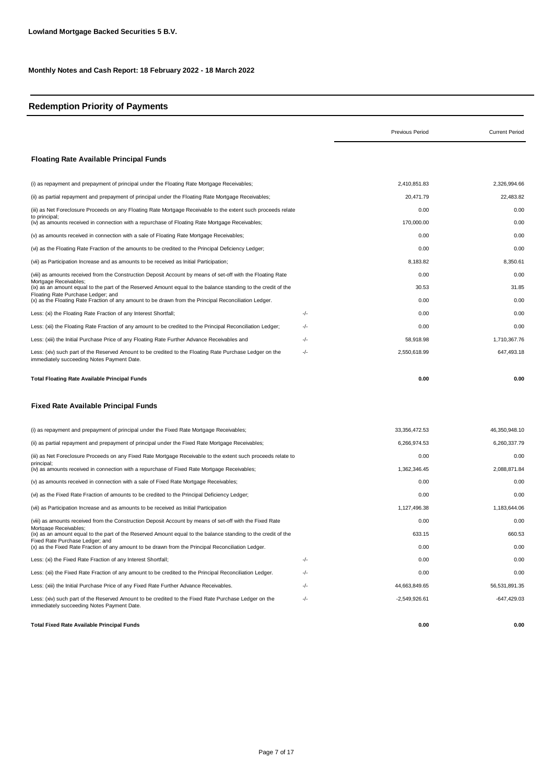# **Redemption Priority of Payments**

|                                                                                                                                                       |     | <b>Previous Period</b> | <b>Current Period</b> |
|-------------------------------------------------------------------------------------------------------------------------------------------------------|-----|------------------------|-----------------------|
| <b>Floating Rate Available Principal Funds</b>                                                                                                        |     |                        |                       |
| (i) as repayment and prepayment of principal under the Floating Rate Mortgage Receivables;                                                            |     | 2,410,851.83           | 2,326,994.66          |
| (ii) as partial repayment and prepayment of principal under the Floating Rate Mortgage Receivables;                                                   |     | 20,471.79              | 22,483.82             |
| (iii) as Net Foreclosure Proceeds on any Floating Rate Mortgage Receivable to the extent such proceeds relate                                         |     | 0.00                   | 0.00                  |
| to principal;<br>(iv) as amounts received in connection with a repurchase of Floating Rate Mortgage Receivables;                                      |     | 170,000.00             | 0.00                  |
| (v) as amounts received in connection with a sale of Floating Rate Mortgage Receivables;                                                              |     | 0.00                   | 0.00                  |
| (vi) as the Floating Rate Fraction of the amounts to be credited to the Principal Deficiency Ledger;                                                  |     | 0.00                   | 0.00                  |
| (vii) as Participation Increase and as amounts to be received as Initial Participation;                                                               |     | 8,183.82               | 8,350.61              |
| (viii) as amounts received from the Construction Deposit Account by means of set-off with the Floating Rate                                           |     | 0.00                   | 0.00                  |
| Mortgage Receivables;<br>(ix) as an amount equal to the part of the Reserved Amount equal to the balance standing to the credit of the                |     | 30.53                  | 31.85                 |
| Floating Rate Purchase Ledger; and<br>(x) as the Floating Rate Fraction of any amount to be drawn from the Principal Reconciliation Ledger.           |     | 0.00                   | 0.00                  |
| Less: (xi) the Floating Rate Fraction of any Interest Shortfall;                                                                                      | -/- | 0.00                   | 0.00                  |
| Less: (xii) the Floating Rate Fraction of any amount to be credited to the Principal Reconciliation Ledger;                                           | -/- | 0.00                   | 0.00                  |
| Less: (xiii) the Initial Purchase Price of any Floating Rate Further Advance Receivables and                                                          | -/- | 58,918.98              | 1,710,367.76          |
| Less: (xiv) such part of the Reserved Amount to be credited to the Floating Rate Purchase Ledger on the<br>immediately succeeding Notes Payment Date. | -/- | 2,550,618.99           | 647,493.18            |
| Total Floating Rate Available Principal Funds                                                                                                         |     | 0.00                   | 0.00                  |
| Fixed Rate Available Principal Funds                                                                                                                  |     |                        |                       |
| (i) as repayment and prepayment of principal under the Fixed Rate Mortgage Receivables;                                                               |     | 33, 356, 472.53        | 46,350,948.10         |
| (ii) as partial repayment and prepayment of principal under the Fixed Rate Mortgage Receivables;                                                      |     | 6,266,974.53           | 6,260,337.79          |
| (iii) as Net Foreclosure Proceeds on any Fixed Rate Mortgage Receivable to the extent such proceeds relate to                                         |     | 0.00                   | 0.00                  |
| principal;<br>(iv) as amounts received in connection with a repurchase of Fixed Rate Mortgage Receivables;                                            |     | 1,362,346.45           | 2,088,871.84          |
| (v) as amounts received in connection with a sale of Fixed Rate Mortgage Receivables;                                                                 |     | 0.00                   | 0.00                  |
| (vi) as the Fixed Rate Fraction of amounts to be credited to the Principal Deficiency Ledger;                                                         |     | 0.00                   | 0.00                  |
| (vii) as Participation Increase and as amounts to be received as Initial Participation                                                                |     | 1,127,496.38           | 1,183,644.06          |
| (viii) as amounts received from the Construction Deposit Account by means of set-off with the Fixed Rate                                              |     | 0.00                   | 0.00                  |
| Mortgage Receivables;<br>(ix) as an amount equal to the part of the Reserved Amount equal to the balance standing to the credit of the                |     | 633.15                 | 660.53                |
| Fixed Rate Purchase Ledger; and<br>(x) as the Fixed Rate Fraction of any amount to be drawn from the Principal Reconciliation Ledger.                 |     | 0.00                   | 0.00                  |
| Less: (xi) the Fixed Rate Fraction of any Interest Shortfall;                                                                                         | -/- | 0.00                   | 0.00                  |
| Less: (xii) the Fixed Rate Fraction of any amount to be credited to the Principal Reconciliation Ledger.                                              | -/- | 0.00                   | 0.00                  |
| Less: (xiii) the Initial Purchase Price of any Fixed Rate Further Advance Receivables.                                                                | -/- | 44,663,849.65          | 56,531,891.35         |
| Less: (xiv) such part of the Reserved Amount to be credited to the Fixed Rate Purchase Ledger on the<br>immediately succeeding Notes Payment Date.    | -/- | $-2,549,926.61$        | -647,429.03           |
| <b>Total Fixed Rate Available Principal Funds</b>                                                                                                     |     | 0.00                   | 0.00                  |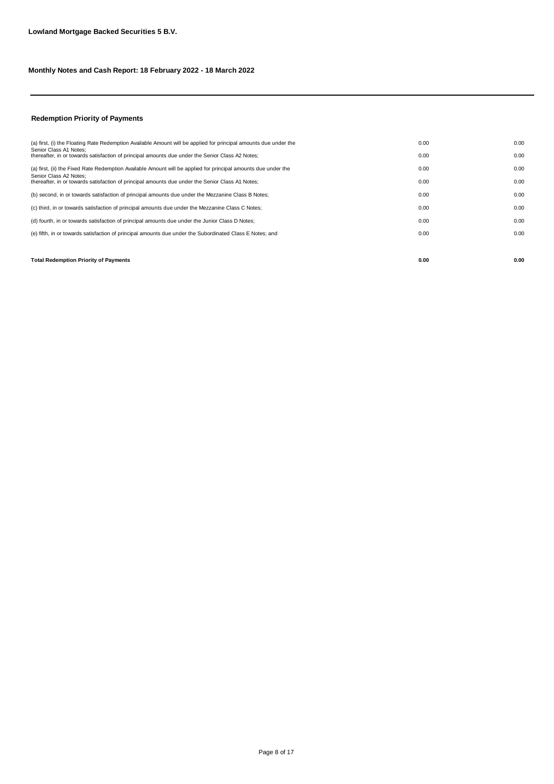# **Redemption Priority of Payments**

| <b>Total Redemption Priority of Payments</b>                                                                               | 0.00 | 0.00 |
|----------------------------------------------------------------------------------------------------------------------------|------|------|
|                                                                                                                            |      |      |
| (e) fifth, in or towards satisfaction of principal amounts due under the Subordinated Class E Notes; and                   | 0.00 | 0.00 |
| (d) fourth, in or towards satisfaction of principal amounts due under the Junior Class D Notes;                            | 0.00 | 0.00 |
| (c) third, in or towards satisfaction of principal amounts due under the Mezzanine Class C Notes;                          | 0.00 | 0.00 |
| (b) second, in or towards satisfaction of principal amounts due under the Mezzanine Class B Notes;                         | 0.00 | 0.00 |
| Senior Class A2 Notes:<br>thereafter, in or towards satisfaction of principal amounts due under the Senior Class A1 Notes; | 0.00 | 0.00 |
| (a) first, (ii) the Fixed Rate Redemption Available Amount will be applied for principal amounts due under the             | 0.00 | 0.00 |
| Senior Class A1 Notes:<br>thereafter, in or towards satisfaction of principal amounts due under the Senior Class A2 Notes; | 0.00 | 0.00 |
| (a) first, (i) the Floating Rate Redemption Available Amount will be applied for principal amounts due under the           | 0.00 | 0.00 |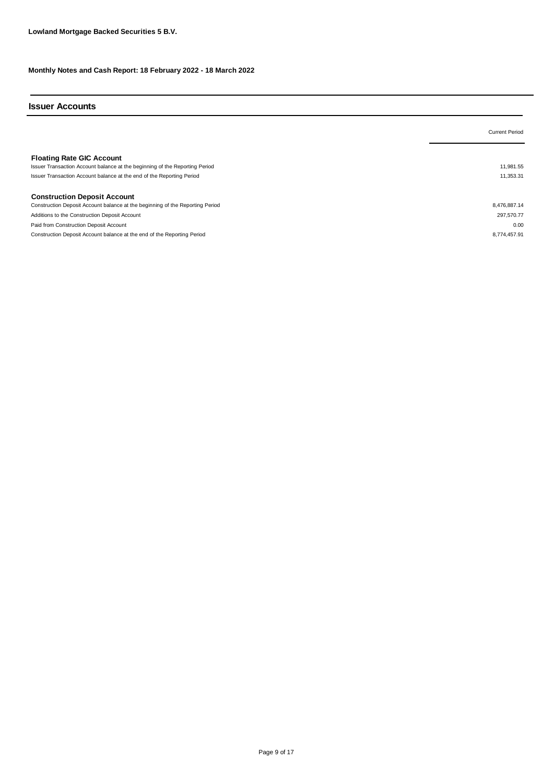## **Issuer Accounts**

|                                                                                                                 | <b>Current Period</b> |
|-----------------------------------------------------------------------------------------------------------------|-----------------------|
| <b>Floating Rate GIC Account</b><br>Issuer Transaction Account balance at the beginning of the Reporting Period | 11,981.55             |
| Issuer Transaction Account balance at the end of the Reporting Period                                           | 11,353.31             |
| <b>Construction Deposit Account</b>                                                                             |                       |
| Construction Deposit Account balance at the beginning of the Reporting Period                                   | 8,476,887.14          |
| Additions to the Construction Deposit Account                                                                   | 297,570.77            |
| Paid from Construction Deposit Account                                                                          | 0.00                  |
| Construction Deposit Account balance at the end of the Reporting Period                                         | 8.774.457.91          |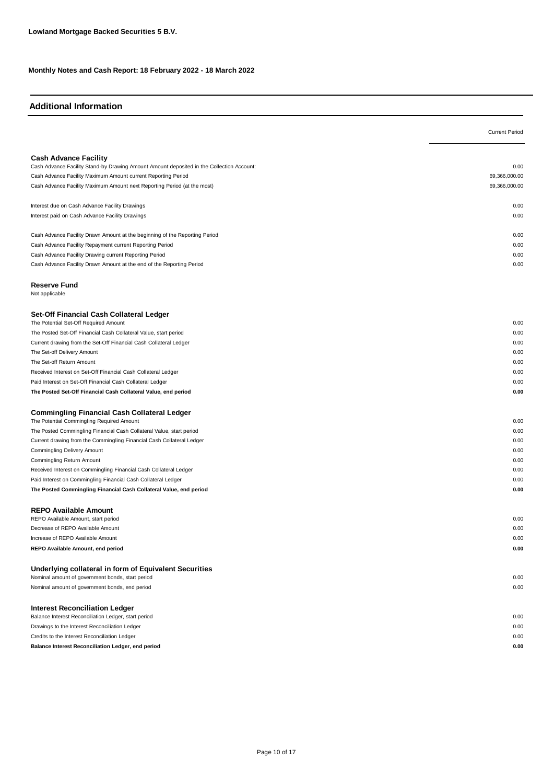# **Additional Information**

| <b>Cash Advance Facility</b><br>Cash Advance Facility Stand-by Drawing Amount Amount deposited in the Collection Account:<br>0.00<br>Cash Advance Facility Maximum Amount current Reporting Period<br>69,366,000.00<br>Cash Advance Facility Maximum Amount next Reporting Period (at the most)<br>69,366,000.00<br>Interest due on Cash Advance Facility Drawings<br>0.00<br>Interest paid on Cash Advance Facility Drawings<br>0.00<br>Cash Advance Facility Drawn Amount at the beginning of the Reporting Period<br>0.00<br>Cash Advance Facility Repayment current Reporting Period<br>0.00<br>Cash Advance Facility Drawing current Reporting Period<br>0.00<br>Cash Advance Facility Drawn Amount at the end of the Reporting Period<br>0.00<br><b>Reserve Fund</b><br>Not applicable<br>Set-Off Financial Cash Collateral Ledger<br>The Potential Set-Off Required Amount<br>0.00<br>The Posted Set-Off Financial Cash Collateral Value, start period<br>0.00<br>Current drawing from the Set-Off Financial Cash Collateral Ledger<br>0.00<br>The Set-off Delivery Amount<br>0.00<br>The Set-off Return Amount<br>0.00<br>Received Interest on Set-Off Financial Cash Collateral Ledger<br>0.00<br>Paid Interest on Set-Off Financial Cash Collateral Ledger<br>0.00<br>The Posted Set-Off Financial Cash Collateral Value, end period<br>0.00<br><b>Commingling Financial Cash Collateral Ledger</b><br>The Potential Commingling Required Amount<br>0.00<br>The Posted Commingling Financial Cash Collateral Value, start period<br>0.00<br>Current drawing from the Commingling Financial Cash Collateral Ledger<br>0.00<br>Commingling Delivery Amount<br>0.00<br>0.00<br>Commingling Return Amount<br>Received Interest on Commingling Financial Cash Collateral Ledger<br>0.00<br>Paid Interest on Commingling Financial Cash Collateral Ledger<br>0.00<br>The Posted Commingling Financial Cash Collateral Value, end period<br>0.00<br><b>REPO Available Amount</b><br>REPO Available Amount, start period<br>0.00<br>Decrease of REPO Available Amount<br>0.00<br>0.00<br>Increase of REPO Available Amount<br>REPO Available Amount, end period<br>0.00<br>Underlying collateral in form of Equivalent Securities<br>Nominal amount of government bonds, start period<br>0.00<br>0.00<br>Nominal amount of government bonds, end period<br><b>Interest Reconciliation Ledger</b><br>Balance Interest Reconciliation Ledger, start period<br>0.00<br>Drawings to the Interest Reconciliation Ledger<br>0.00<br>Credits to the Interest Reconciliation Ledger<br>0.00<br>Balance Interest Reconciliation Ledger, end period<br>0.00 | <b>Current Period</b> |
|-----------------------------------------------------------------------------------------------------------------------------------------------------------------------------------------------------------------------------------------------------------------------------------------------------------------------------------------------------------------------------------------------------------------------------------------------------------------------------------------------------------------------------------------------------------------------------------------------------------------------------------------------------------------------------------------------------------------------------------------------------------------------------------------------------------------------------------------------------------------------------------------------------------------------------------------------------------------------------------------------------------------------------------------------------------------------------------------------------------------------------------------------------------------------------------------------------------------------------------------------------------------------------------------------------------------------------------------------------------------------------------------------------------------------------------------------------------------------------------------------------------------------------------------------------------------------------------------------------------------------------------------------------------------------------------------------------------------------------------------------------------------------------------------------------------------------------------------------------------------------------------------------------------------------------------------------------------------------------------------------------------------------------------------------------------------------------------------------------------------------------------------------------------------------------------------------------------------------------------------------------------------------------------------------------------------------------------------------------------------------------------------------------------------------------------------------------------------------------------------------------------------------------------------------------------------------------------------------------------------------------------------------------|-----------------------|
|                                                                                                                                                                                                                                                                                                                                                                                                                                                                                                                                                                                                                                                                                                                                                                                                                                                                                                                                                                                                                                                                                                                                                                                                                                                                                                                                                                                                                                                                                                                                                                                                                                                                                                                                                                                                                                                                                                                                                                                                                                                                                                                                                                                                                                                                                                                                                                                                                                                                                                                                                                                                                                                     |                       |
|                                                                                                                                                                                                                                                                                                                                                                                                                                                                                                                                                                                                                                                                                                                                                                                                                                                                                                                                                                                                                                                                                                                                                                                                                                                                                                                                                                                                                                                                                                                                                                                                                                                                                                                                                                                                                                                                                                                                                                                                                                                                                                                                                                                                                                                                                                                                                                                                                                                                                                                                                                                                                                                     |                       |
|                                                                                                                                                                                                                                                                                                                                                                                                                                                                                                                                                                                                                                                                                                                                                                                                                                                                                                                                                                                                                                                                                                                                                                                                                                                                                                                                                                                                                                                                                                                                                                                                                                                                                                                                                                                                                                                                                                                                                                                                                                                                                                                                                                                                                                                                                                                                                                                                                                                                                                                                                                                                                                                     |                       |
|                                                                                                                                                                                                                                                                                                                                                                                                                                                                                                                                                                                                                                                                                                                                                                                                                                                                                                                                                                                                                                                                                                                                                                                                                                                                                                                                                                                                                                                                                                                                                                                                                                                                                                                                                                                                                                                                                                                                                                                                                                                                                                                                                                                                                                                                                                                                                                                                                                                                                                                                                                                                                                                     |                       |
|                                                                                                                                                                                                                                                                                                                                                                                                                                                                                                                                                                                                                                                                                                                                                                                                                                                                                                                                                                                                                                                                                                                                                                                                                                                                                                                                                                                                                                                                                                                                                                                                                                                                                                                                                                                                                                                                                                                                                                                                                                                                                                                                                                                                                                                                                                                                                                                                                                                                                                                                                                                                                                                     |                       |
|                                                                                                                                                                                                                                                                                                                                                                                                                                                                                                                                                                                                                                                                                                                                                                                                                                                                                                                                                                                                                                                                                                                                                                                                                                                                                                                                                                                                                                                                                                                                                                                                                                                                                                                                                                                                                                                                                                                                                                                                                                                                                                                                                                                                                                                                                                                                                                                                                                                                                                                                                                                                                                                     |                       |
|                                                                                                                                                                                                                                                                                                                                                                                                                                                                                                                                                                                                                                                                                                                                                                                                                                                                                                                                                                                                                                                                                                                                                                                                                                                                                                                                                                                                                                                                                                                                                                                                                                                                                                                                                                                                                                                                                                                                                                                                                                                                                                                                                                                                                                                                                                                                                                                                                                                                                                                                                                                                                                                     |                       |
|                                                                                                                                                                                                                                                                                                                                                                                                                                                                                                                                                                                                                                                                                                                                                                                                                                                                                                                                                                                                                                                                                                                                                                                                                                                                                                                                                                                                                                                                                                                                                                                                                                                                                                                                                                                                                                                                                                                                                                                                                                                                                                                                                                                                                                                                                                                                                                                                                                                                                                                                                                                                                                                     |                       |
|                                                                                                                                                                                                                                                                                                                                                                                                                                                                                                                                                                                                                                                                                                                                                                                                                                                                                                                                                                                                                                                                                                                                                                                                                                                                                                                                                                                                                                                                                                                                                                                                                                                                                                                                                                                                                                                                                                                                                                                                                                                                                                                                                                                                                                                                                                                                                                                                                                                                                                                                                                                                                                                     |                       |
|                                                                                                                                                                                                                                                                                                                                                                                                                                                                                                                                                                                                                                                                                                                                                                                                                                                                                                                                                                                                                                                                                                                                                                                                                                                                                                                                                                                                                                                                                                                                                                                                                                                                                                                                                                                                                                                                                                                                                                                                                                                                                                                                                                                                                                                                                                                                                                                                                                                                                                                                                                                                                                                     |                       |
|                                                                                                                                                                                                                                                                                                                                                                                                                                                                                                                                                                                                                                                                                                                                                                                                                                                                                                                                                                                                                                                                                                                                                                                                                                                                                                                                                                                                                                                                                                                                                                                                                                                                                                                                                                                                                                                                                                                                                                                                                                                                                                                                                                                                                                                                                                                                                                                                                                                                                                                                                                                                                                                     |                       |
|                                                                                                                                                                                                                                                                                                                                                                                                                                                                                                                                                                                                                                                                                                                                                                                                                                                                                                                                                                                                                                                                                                                                                                                                                                                                                                                                                                                                                                                                                                                                                                                                                                                                                                                                                                                                                                                                                                                                                                                                                                                                                                                                                                                                                                                                                                                                                                                                                                                                                                                                                                                                                                                     |                       |
|                                                                                                                                                                                                                                                                                                                                                                                                                                                                                                                                                                                                                                                                                                                                                                                                                                                                                                                                                                                                                                                                                                                                                                                                                                                                                                                                                                                                                                                                                                                                                                                                                                                                                                                                                                                                                                                                                                                                                                                                                                                                                                                                                                                                                                                                                                                                                                                                                                                                                                                                                                                                                                                     |                       |
|                                                                                                                                                                                                                                                                                                                                                                                                                                                                                                                                                                                                                                                                                                                                                                                                                                                                                                                                                                                                                                                                                                                                                                                                                                                                                                                                                                                                                                                                                                                                                                                                                                                                                                                                                                                                                                                                                                                                                                                                                                                                                                                                                                                                                                                                                                                                                                                                                                                                                                                                                                                                                                                     |                       |
|                                                                                                                                                                                                                                                                                                                                                                                                                                                                                                                                                                                                                                                                                                                                                                                                                                                                                                                                                                                                                                                                                                                                                                                                                                                                                                                                                                                                                                                                                                                                                                                                                                                                                                                                                                                                                                                                                                                                                                                                                                                                                                                                                                                                                                                                                                                                                                                                                                                                                                                                                                                                                                                     |                       |
|                                                                                                                                                                                                                                                                                                                                                                                                                                                                                                                                                                                                                                                                                                                                                                                                                                                                                                                                                                                                                                                                                                                                                                                                                                                                                                                                                                                                                                                                                                                                                                                                                                                                                                                                                                                                                                                                                                                                                                                                                                                                                                                                                                                                                                                                                                                                                                                                                                                                                                                                                                                                                                                     |                       |
|                                                                                                                                                                                                                                                                                                                                                                                                                                                                                                                                                                                                                                                                                                                                                                                                                                                                                                                                                                                                                                                                                                                                                                                                                                                                                                                                                                                                                                                                                                                                                                                                                                                                                                                                                                                                                                                                                                                                                                                                                                                                                                                                                                                                                                                                                                                                                                                                                                                                                                                                                                                                                                                     |                       |
|                                                                                                                                                                                                                                                                                                                                                                                                                                                                                                                                                                                                                                                                                                                                                                                                                                                                                                                                                                                                                                                                                                                                                                                                                                                                                                                                                                                                                                                                                                                                                                                                                                                                                                                                                                                                                                                                                                                                                                                                                                                                                                                                                                                                                                                                                                                                                                                                                                                                                                                                                                                                                                                     |                       |
|                                                                                                                                                                                                                                                                                                                                                                                                                                                                                                                                                                                                                                                                                                                                                                                                                                                                                                                                                                                                                                                                                                                                                                                                                                                                                                                                                                                                                                                                                                                                                                                                                                                                                                                                                                                                                                                                                                                                                                                                                                                                                                                                                                                                                                                                                                                                                                                                                                                                                                                                                                                                                                                     |                       |
|                                                                                                                                                                                                                                                                                                                                                                                                                                                                                                                                                                                                                                                                                                                                                                                                                                                                                                                                                                                                                                                                                                                                                                                                                                                                                                                                                                                                                                                                                                                                                                                                                                                                                                                                                                                                                                                                                                                                                                                                                                                                                                                                                                                                                                                                                                                                                                                                                                                                                                                                                                                                                                                     |                       |
|                                                                                                                                                                                                                                                                                                                                                                                                                                                                                                                                                                                                                                                                                                                                                                                                                                                                                                                                                                                                                                                                                                                                                                                                                                                                                                                                                                                                                                                                                                                                                                                                                                                                                                                                                                                                                                                                                                                                                                                                                                                                                                                                                                                                                                                                                                                                                                                                                                                                                                                                                                                                                                                     |                       |
|                                                                                                                                                                                                                                                                                                                                                                                                                                                                                                                                                                                                                                                                                                                                                                                                                                                                                                                                                                                                                                                                                                                                                                                                                                                                                                                                                                                                                                                                                                                                                                                                                                                                                                                                                                                                                                                                                                                                                                                                                                                                                                                                                                                                                                                                                                                                                                                                                                                                                                                                                                                                                                                     |                       |
|                                                                                                                                                                                                                                                                                                                                                                                                                                                                                                                                                                                                                                                                                                                                                                                                                                                                                                                                                                                                                                                                                                                                                                                                                                                                                                                                                                                                                                                                                                                                                                                                                                                                                                                                                                                                                                                                                                                                                                                                                                                                                                                                                                                                                                                                                                                                                                                                                                                                                                                                                                                                                                                     |                       |
|                                                                                                                                                                                                                                                                                                                                                                                                                                                                                                                                                                                                                                                                                                                                                                                                                                                                                                                                                                                                                                                                                                                                                                                                                                                                                                                                                                                                                                                                                                                                                                                                                                                                                                                                                                                                                                                                                                                                                                                                                                                                                                                                                                                                                                                                                                                                                                                                                                                                                                                                                                                                                                                     |                       |
|                                                                                                                                                                                                                                                                                                                                                                                                                                                                                                                                                                                                                                                                                                                                                                                                                                                                                                                                                                                                                                                                                                                                                                                                                                                                                                                                                                                                                                                                                                                                                                                                                                                                                                                                                                                                                                                                                                                                                                                                                                                                                                                                                                                                                                                                                                                                                                                                                                                                                                                                                                                                                                                     |                       |
|                                                                                                                                                                                                                                                                                                                                                                                                                                                                                                                                                                                                                                                                                                                                                                                                                                                                                                                                                                                                                                                                                                                                                                                                                                                                                                                                                                                                                                                                                                                                                                                                                                                                                                                                                                                                                                                                                                                                                                                                                                                                                                                                                                                                                                                                                                                                                                                                                                                                                                                                                                                                                                                     |                       |
|                                                                                                                                                                                                                                                                                                                                                                                                                                                                                                                                                                                                                                                                                                                                                                                                                                                                                                                                                                                                                                                                                                                                                                                                                                                                                                                                                                                                                                                                                                                                                                                                                                                                                                                                                                                                                                                                                                                                                                                                                                                                                                                                                                                                                                                                                                                                                                                                                                                                                                                                                                                                                                                     |                       |
|                                                                                                                                                                                                                                                                                                                                                                                                                                                                                                                                                                                                                                                                                                                                                                                                                                                                                                                                                                                                                                                                                                                                                                                                                                                                                                                                                                                                                                                                                                                                                                                                                                                                                                                                                                                                                                                                                                                                                                                                                                                                                                                                                                                                                                                                                                                                                                                                                                                                                                                                                                                                                                                     |                       |
|                                                                                                                                                                                                                                                                                                                                                                                                                                                                                                                                                                                                                                                                                                                                                                                                                                                                                                                                                                                                                                                                                                                                                                                                                                                                                                                                                                                                                                                                                                                                                                                                                                                                                                                                                                                                                                                                                                                                                                                                                                                                                                                                                                                                                                                                                                                                                                                                                                                                                                                                                                                                                                                     |                       |
|                                                                                                                                                                                                                                                                                                                                                                                                                                                                                                                                                                                                                                                                                                                                                                                                                                                                                                                                                                                                                                                                                                                                                                                                                                                                                                                                                                                                                                                                                                                                                                                                                                                                                                                                                                                                                                                                                                                                                                                                                                                                                                                                                                                                                                                                                                                                                                                                                                                                                                                                                                                                                                                     |                       |
|                                                                                                                                                                                                                                                                                                                                                                                                                                                                                                                                                                                                                                                                                                                                                                                                                                                                                                                                                                                                                                                                                                                                                                                                                                                                                                                                                                                                                                                                                                                                                                                                                                                                                                                                                                                                                                                                                                                                                                                                                                                                                                                                                                                                                                                                                                                                                                                                                                                                                                                                                                                                                                                     |                       |
|                                                                                                                                                                                                                                                                                                                                                                                                                                                                                                                                                                                                                                                                                                                                                                                                                                                                                                                                                                                                                                                                                                                                                                                                                                                                                                                                                                                                                                                                                                                                                                                                                                                                                                                                                                                                                                                                                                                                                                                                                                                                                                                                                                                                                                                                                                                                                                                                                                                                                                                                                                                                                                                     |                       |
|                                                                                                                                                                                                                                                                                                                                                                                                                                                                                                                                                                                                                                                                                                                                                                                                                                                                                                                                                                                                                                                                                                                                                                                                                                                                                                                                                                                                                                                                                                                                                                                                                                                                                                                                                                                                                                                                                                                                                                                                                                                                                                                                                                                                                                                                                                                                                                                                                                                                                                                                                                                                                                                     |                       |
|                                                                                                                                                                                                                                                                                                                                                                                                                                                                                                                                                                                                                                                                                                                                                                                                                                                                                                                                                                                                                                                                                                                                                                                                                                                                                                                                                                                                                                                                                                                                                                                                                                                                                                                                                                                                                                                                                                                                                                                                                                                                                                                                                                                                                                                                                                                                                                                                                                                                                                                                                                                                                                                     |                       |
|                                                                                                                                                                                                                                                                                                                                                                                                                                                                                                                                                                                                                                                                                                                                                                                                                                                                                                                                                                                                                                                                                                                                                                                                                                                                                                                                                                                                                                                                                                                                                                                                                                                                                                                                                                                                                                                                                                                                                                                                                                                                                                                                                                                                                                                                                                                                                                                                                                                                                                                                                                                                                                                     |                       |
|                                                                                                                                                                                                                                                                                                                                                                                                                                                                                                                                                                                                                                                                                                                                                                                                                                                                                                                                                                                                                                                                                                                                                                                                                                                                                                                                                                                                                                                                                                                                                                                                                                                                                                                                                                                                                                                                                                                                                                                                                                                                                                                                                                                                                                                                                                                                                                                                                                                                                                                                                                                                                                                     |                       |
|                                                                                                                                                                                                                                                                                                                                                                                                                                                                                                                                                                                                                                                                                                                                                                                                                                                                                                                                                                                                                                                                                                                                                                                                                                                                                                                                                                                                                                                                                                                                                                                                                                                                                                                                                                                                                                                                                                                                                                                                                                                                                                                                                                                                                                                                                                                                                                                                                                                                                                                                                                                                                                                     |                       |
|                                                                                                                                                                                                                                                                                                                                                                                                                                                                                                                                                                                                                                                                                                                                                                                                                                                                                                                                                                                                                                                                                                                                                                                                                                                                                                                                                                                                                                                                                                                                                                                                                                                                                                                                                                                                                                                                                                                                                                                                                                                                                                                                                                                                                                                                                                                                                                                                                                                                                                                                                                                                                                                     |                       |
|                                                                                                                                                                                                                                                                                                                                                                                                                                                                                                                                                                                                                                                                                                                                                                                                                                                                                                                                                                                                                                                                                                                                                                                                                                                                                                                                                                                                                                                                                                                                                                                                                                                                                                                                                                                                                                                                                                                                                                                                                                                                                                                                                                                                                                                                                                                                                                                                                                                                                                                                                                                                                                                     |                       |
|                                                                                                                                                                                                                                                                                                                                                                                                                                                                                                                                                                                                                                                                                                                                                                                                                                                                                                                                                                                                                                                                                                                                                                                                                                                                                                                                                                                                                                                                                                                                                                                                                                                                                                                                                                                                                                                                                                                                                                                                                                                                                                                                                                                                                                                                                                                                                                                                                                                                                                                                                                                                                                                     |                       |
|                                                                                                                                                                                                                                                                                                                                                                                                                                                                                                                                                                                                                                                                                                                                                                                                                                                                                                                                                                                                                                                                                                                                                                                                                                                                                                                                                                                                                                                                                                                                                                                                                                                                                                                                                                                                                                                                                                                                                                                                                                                                                                                                                                                                                                                                                                                                                                                                                                                                                                                                                                                                                                                     |                       |
|                                                                                                                                                                                                                                                                                                                                                                                                                                                                                                                                                                                                                                                                                                                                                                                                                                                                                                                                                                                                                                                                                                                                                                                                                                                                                                                                                                                                                                                                                                                                                                                                                                                                                                                                                                                                                                                                                                                                                                                                                                                                                                                                                                                                                                                                                                                                                                                                                                                                                                                                                                                                                                                     |                       |
|                                                                                                                                                                                                                                                                                                                                                                                                                                                                                                                                                                                                                                                                                                                                                                                                                                                                                                                                                                                                                                                                                                                                                                                                                                                                                                                                                                                                                                                                                                                                                                                                                                                                                                                                                                                                                                                                                                                                                                                                                                                                                                                                                                                                                                                                                                                                                                                                                                                                                                                                                                                                                                                     |                       |
|                                                                                                                                                                                                                                                                                                                                                                                                                                                                                                                                                                                                                                                                                                                                                                                                                                                                                                                                                                                                                                                                                                                                                                                                                                                                                                                                                                                                                                                                                                                                                                                                                                                                                                                                                                                                                                                                                                                                                                                                                                                                                                                                                                                                                                                                                                                                                                                                                                                                                                                                                                                                                                                     |                       |
|                                                                                                                                                                                                                                                                                                                                                                                                                                                                                                                                                                                                                                                                                                                                                                                                                                                                                                                                                                                                                                                                                                                                                                                                                                                                                                                                                                                                                                                                                                                                                                                                                                                                                                                                                                                                                                                                                                                                                                                                                                                                                                                                                                                                                                                                                                                                                                                                                                                                                                                                                                                                                                                     |                       |
|                                                                                                                                                                                                                                                                                                                                                                                                                                                                                                                                                                                                                                                                                                                                                                                                                                                                                                                                                                                                                                                                                                                                                                                                                                                                                                                                                                                                                                                                                                                                                                                                                                                                                                                                                                                                                                                                                                                                                                                                                                                                                                                                                                                                                                                                                                                                                                                                                                                                                                                                                                                                                                                     |                       |
|                                                                                                                                                                                                                                                                                                                                                                                                                                                                                                                                                                                                                                                                                                                                                                                                                                                                                                                                                                                                                                                                                                                                                                                                                                                                                                                                                                                                                                                                                                                                                                                                                                                                                                                                                                                                                                                                                                                                                                                                                                                                                                                                                                                                                                                                                                                                                                                                                                                                                                                                                                                                                                                     |                       |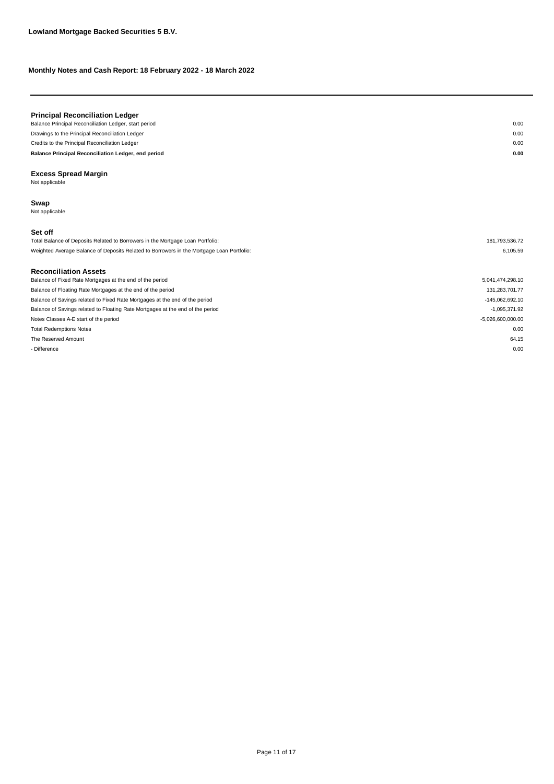| <b>Principal Reconciliation Ledger</b>                |      |
|-------------------------------------------------------|------|
| Balance Principal Reconciliation Ledger, start period | 0.00 |
| Drawings to the Principal Reconciliation Ledger       | 0.00 |
| Credits to the Principal Reconciliation Ledger        | 0.00 |
| Balance Principal Reconciliation Ledger, end period   | 0.00 |
|                                                       |      |
|                                                       |      |

**Excess Spread Margin** Not applicable

#### **Swap**

Not applicable

#### **Set off**

| Total Balance of Deposits Related to Borrowers in the Mortgage Loan Portfolio:            | 181.793.536.72 |
|-------------------------------------------------------------------------------------------|----------------|
| Weighted Average Balance of Deposits Related to Borrowers in the Mortgage Loan Portfolio: | 6.105.59       |

#### **Reconciliation Assets**

| Balance of Fixed Rate Mortgages at the end of the period                       | 5,041,474,298.10    |
|--------------------------------------------------------------------------------|---------------------|
| Balance of Floating Rate Mortgages at the end of the period                    | 131.283.701.77      |
| Balance of Savings related to Fixed Rate Mortgages at the end of the period    | -145,062,692.10     |
| Balance of Savings related to Floating Rate Mortgages at the end of the period | $-1.095.371.92$     |
| Notes Classes A-E start of the period                                          | $-5,026,600,000.00$ |
| <b>Total Redemptions Notes</b>                                                 | 0.00                |
| The Reserved Amount                                                            | 64.15               |
| - Difference                                                                   | 0.00                |
|                                                                                |                     |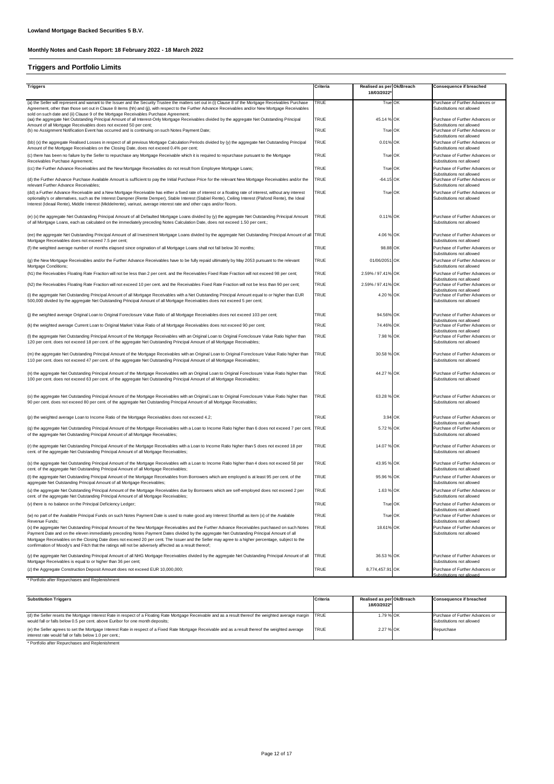# **Triggers and Portfolio Limits**

| <b>Triggers</b>                                                                                                                                                                                                                                                                                                                                                                                                                                 | Criteria    | Realised as per Ok/Breach |                                                              | <b>Consequence if breached</b>                                                            |
|-------------------------------------------------------------------------------------------------------------------------------------------------------------------------------------------------------------------------------------------------------------------------------------------------------------------------------------------------------------------------------------------------------------------------------------------------|-------------|---------------------------|--------------------------------------------------------------|-------------------------------------------------------------------------------------------|
|                                                                                                                                                                                                                                                                                                                                                                                                                                                 |             | 18/03/2022*               |                                                              |                                                                                           |
| (a) the Seller will represent and warrant to the Issuer and the Security Trustee the matters set out in (i) Clause 8 of the Mortgage Receivables Purchase<br>Agreement, other than those set out in Clause 8 items (hh) and (jj), with respect to the Further Advance Receivables and/or New Mortgage Receivables                                                                                                                               | <b>TRUE</b> | True OK                   |                                                              | Purchase of Further Advances or<br>Substitutions not allowed                              |
| sold on such date and (ii) Clause 9 of the Mortgage Receivables Purchase Agreement;<br>(aa) the aggregate Net Outstanding Principal Amount of all Interest-Only Mortgage Receivables divided by the aggregate Net Outstanding Principal                                                                                                                                                                                                         | <b>TRUE</b> | 45.14 % OK                |                                                              | Purchase of Further Advances or                                                           |
| Amount of all Mortgage Receivables does not exceed 50 per cent;<br>(b) no Assignment Notification Event has occurred and is continuing on such Notes Payment Date;                                                                                                                                                                                                                                                                              | <b>TRUE</b> | True OK                   |                                                              | Substitutions not allowed<br>Purchase of Further Advances or<br>Substitutions not allowed |
| (bb) (x) the aggregate Realised Losses in respect of all previous Mortgage Calculation Periods divided by (y) the aggregate Net Outstanding Principal<br>Amount of the Mortgage Receivables on the Closing Date, does not exceed 0.4% per cent;                                                                                                                                                                                                 | <b>TRUE</b> | 0.01% OK                  |                                                              | Purchase of Further Advances or<br>Substitutions not allowed                              |
| (c) there has been no failure by the Seller to repurchase any Mortgage Receivable which it is required to repurchase pursuant to the Mortgage                                                                                                                                                                                                                                                                                                   | <b>TRUE</b> | True OK                   |                                                              | Purchase of Further Advances or                                                           |
| Receivables Purchase Agreement;<br>(cc) the Further Advance Receivables and the New Mortgage Receivables do not result from Employee Mortgage Loans;                                                                                                                                                                                                                                                                                            | <b>TRUE</b> | True OK                   |                                                              | Substitutions not allowed<br>Purchase of Further Advances or                              |
| (d) the Further Advance Purchase Available Amount is sufficient to pay the Initial Purchase Price for the relevant New Mortgage Receivables and/or the<br>relevant Further Advance Receivables;                                                                                                                                                                                                                                                 | <b>TRUE</b> | $-64.15$ OK               |                                                              | Substitutions not allowed<br>Purchase of Further Advances or<br>Substitutions not allowed |
| (dd) a Further Advance Receivable and a New Mortgage Receivable has either a fixed rate of interest or a floating rate of interest, without any interest<br>optionality's or alternatives, such as the Interest Dampner (Rente Demper), Stable Interest (Stabiel Rente), Ceiling Interest (Plafond Rente), the Ideal<br>Interest (Ideaal Rente), Middle Interest (Middelrente), varirust, average interest rate and other caps and/or floors.   | <b>TRUE</b> | True OK                   |                                                              | Purchase of Further Advances or<br>Substitutions not allowed                              |
| (e) (x) the aggregate Net Outstanding Principal Amount of all Defaulted Mortgage Loans divided by (y) the aggregate Net Outstanding Principal Amount<br>of all Mortgage Loans, each as calculated on the immediately preceding Notes Calculation Date, does not exceed 1.50 per cent.;                                                                                                                                                          | <b>TRUE</b> | 0.11% OK                  |                                                              | Purchase of Further Advances or<br>Substitutions not allowed                              |
| (ee) the aggregate Net Outstanding Principal Amount of all Investment Mortgage Loans divided by the aggregate Net Outstanding Principal Amount of all TRUE<br>Mortgage Receivables does not exceed 7.5 per cent;                                                                                                                                                                                                                                |             | 4.06 % OK                 |                                                              | Purchase of Further Advances or<br>Substitutions not allowed                              |
| (f) the weighted average number of months elapsed since origination of all Mortgage Loans shall not fall below 30 months;                                                                                                                                                                                                                                                                                                                       | <b>TRUE</b> | 98.88 OK                  |                                                              | Purchase of Further Advances or<br>Substitutions not allowed                              |
| (g) the New Mortgage Receivables and/or the Further Advance Receivables have to be fully repaid ultimately by May 2053 pursuant to the relevant<br>Mortgage Conditions;                                                                                                                                                                                                                                                                         | <b>TRUE</b> | 01/06/2051 OK             |                                                              | Purchase of Further Advances or<br>Substitutions not allowed                              |
| (h1) the Receivables Floating Rate Fraction will not be less than 2 per cent. and the Receivables Fixed Rate Fraction will not exceed 98 per cent;                                                                                                                                                                                                                                                                                              | <b>TRUE</b> | 2.59% / 97.41% OK         |                                                              | Purchase of Further Advances or<br>Substitutions not allowed                              |
| (h2) the Receivables Floating Rate Fraction will not exceed 10 per cent. and the Receivables Fixed Rate Fraction will not be less than 90 per cent;                                                                                                                                                                                                                                                                                             | <b>TRUE</b> | 2.59% / 97.41% OK         |                                                              | Purchase of Further Advances or<br>Substitutions not allowed                              |
| (i) the aggregate Net Outstanding Principal Amount of all Mortgage Receivables with a Net Outstanding Principal Amount equal to or higher than EUR<br>500,000 divided by the aggregate Net Outstanding Principal Amount of all Mortgage Receivables does not exceed 5 per cent;                                                                                                                                                                 | <b>TRUE</b> | 4.20 % OK                 | Purchase of Further Advances or<br>Substitutions not allowed |                                                                                           |
| (i) the weighted average Original Loan to Original Foreclosure Value Ratio of all Mortgage Receivables does not exceed 103 per cent;                                                                                                                                                                                                                                                                                                            | <b>TRUE</b> | 94.56% OK                 |                                                              | Purchase of Further Advances or<br>Substitutions not allowed                              |
| (k) the weighted average Current Loan to Original Market Value Ratio of all Mortgage Receivables does not exceed 90 per cent;                                                                                                                                                                                                                                                                                                                   | <b>TRUE</b> | 74.46% OK                 |                                                              | Purchase of Further Advances or<br>Substitutions not allowed                              |
| (I) the aggregate Net Outstanding Principal Amount of the Mortgage Receivables with an Original Loan to Original Foreclosure Value Ratio higher than<br>120 per cent. does not exceed 18 per cent. of the aggregate Net Outstanding Principal Amount of all Mortgage Receivables;                                                                                                                                                               | <b>TRUE</b> | 7.98 % OK                 |                                                              | Purchase of Further Advances or<br>Substitutions not allowed                              |
| (m) the aggregate Net Outstanding Principal Amount of the Mortgage Receivables with an Original Loan to Original Foreclosure Value Ratio higher than<br>110 per cent. does not exceed 47 per cent. of the aggregate Net Outstanding Principal Amount of all Mortgage Receivables;                                                                                                                                                               | <b>TRUE</b> | 30.58 % OK                |                                                              | Purchase of Further Advances or<br>Substitutions not allowed                              |
| (n) the aggregate Net Outstanding Principal Amount of the Mortgage Receivables with an Original Loan to Original Foreclosure Value Ratio higher than<br>100 per cent. does not exceed 63 per cent. of the aggregate Net Outstanding Principal Amount of all Mortgage Receivables;                                                                                                                                                               | <b>TRUE</b> | 44.27 % OK                |                                                              | Purchase of Further Advances or<br>Substitutions not allowed                              |
| (o) the aggregate Net Outstanding Principal Amount of the Mortgage Receivables with an Original Loan to Original Foreclosure Value Ratio higher than<br>90 per cent. does not exceed 80 per cent. of the aggregate Net Outstanding Principal Amount of all Mortgage Receivables;                                                                                                                                                                | <b>TRUE</b> | 63.28 % OK                |                                                              | Purchase of Further Advances or<br>Substitutions not allowed                              |
| (p) the weighted average Loan to Income Ratio of the Mortgage Receivables does not exceed 4.2;                                                                                                                                                                                                                                                                                                                                                  | <b>TRUE</b> | 3.94 OK                   |                                                              | Purchase of Further Advances or<br>Substitutions not allowed                              |
| (q) the aggregate Net Outstanding Principal Amount of the Mortgage Receivables with a Loan to Income Ratio higher than 6 does not exceed 7 per cent.<br>of the aggregate Net Outstanding Principal Amount of all Mortgage Receivables;                                                                                                                                                                                                          | <b>TRUE</b> | 5.72 % OK                 |                                                              | Purchase of Further Advances or<br>Substitutions not allowed                              |
| (r) the aggregate Net Outstanding Principal Amount of the Mortgage Receivables with a Loan to Income Ratio higher than 5 does not exceed 18 per<br>cent. of the aggregate Net Outstanding Principal Amount of all Mortgage Receivables;                                                                                                                                                                                                         | <b>TRUE</b> | 14.07 % OK                |                                                              | Purchase of Further Advances or<br>Substitutions not allowed                              |
| (s) the aggregate Net Outstanding Principal Amount of the Mortgage Receivables with a Loan to Income Ratio higher than 4 does not exceed 58 per<br>cent. of the aggregate Net Outstanding Principal Amount of all Mortgage Receivables;                                                                                                                                                                                                         | <b>TRUE</b> | 43.95 % OK                |                                                              | Purchase of Further Advances or<br>Substitutions not allowed                              |
| (t) the aggregate Net Outstanding Principal Amount of the Mortgage Receivables from Borrowers which are employed is at least 95 per cent. of the<br>aggregate Net Outstanding Principal Amount of all Mortgage Receivables;                                                                                                                                                                                                                     | <b>TRUE</b> | 95.96 % OK                |                                                              | Purchase of Further Advances or<br>Substitutions not allowed                              |
| (u) the aggregate Net Outstanding Principal Amount of the Mortgage Receivables due by Borrowers which are self-employed does not exceed 2 per<br>cent. of the aggregate Net Outstanding Principal Amount of all Mortgage Receivables;                                                                                                                                                                                                           | <b>TRUE</b> | 1.63 % OK                 |                                                              | Purchase of Further Advances or<br>Substitutions not allowed                              |
| (v) there is no balance on the Principal Deficiency Ledger;                                                                                                                                                                                                                                                                                                                                                                                     | <b>TRUE</b> | True OK                   |                                                              | Purchase of Further Advances or<br>Substitutions not allowed                              |
| (w) no part of the Available Principal Funds on such Notes Payment Date is used to make good any Interest Shortfall as item (x) of the Available<br>Revenue Funds;                                                                                                                                                                                                                                                                              | <b>TRUE</b> | True OK                   |                                                              | Purchase of Further Advances or<br>Substitutions not allowed                              |
| (x) the aggregate Net Outstanding Principal Amount of the New Mortgage Receivables and the Further Advance Receivables purchased on such Notes<br>Payment Date and on the eleven immediately preceding Notes Payment Dates divided by the aggregate Net Outstanding Principal Amount of all<br>Mortgage Receivables on the Closing Date does not exceed 20 per cent. The Issuer and the Seller may agree to a higher percentage, subject to the | <b>TRUE</b> | 18.61% OK                 |                                                              | Purchase of Further Advances or<br>Substitutions not allowed                              |
| confirmation of Moody's and Fitch that the ratings will not be adversely affected as a result thereof;                                                                                                                                                                                                                                                                                                                                          |             |                           |                                                              |                                                                                           |
| (y) the aggregate Net Outstanding Principal Amount of all NHG Mortgage Receivables divided by the aggregate Net Outstanding Principal Amount of all<br>Mortgage Receivables is equal to or higher than 36 per cent;                                                                                                                                                                                                                             | <b>TRUE</b> | 36.53 % OK                |                                                              | Purchase of Further Advances or<br>Substitutions not allowed                              |
| (z) the Aggregate Construction Deposit Amount does not exceed EUR 10,000,000;                                                                                                                                                                                                                                                                                                                                                                   | TRUE        | 8,774,457.91 OK           |                                                              | Purchase of Further Advances or<br>Substitutions not allowed                              |

\* Portfolio after Repurchases and Replenishment

| <b>Substitution Triggers</b>                                                                                                                                                                                                                 | Criteria    | Realised as per Ok/Breach<br>18/03/2022* | Consequence if breached                                      |
|----------------------------------------------------------------------------------------------------------------------------------------------------------------------------------------------------------------------------------------------|-------------|------------------------------------------|--------------------------------------------------------------|
| (d) the Seller resets the Mortgage Interest Rate in respect of a Floating Rate Mortgage Receivable and as a result thereof the weighted average margin TRUE<br>would fall or falls below 0.5 per cent. above Euribor for one month deposits; |             | 1.79 % OK                                | Purchase of Further Advances or<br>Substitutions not allowed |
| (e) the Seller agrees to set the Mortgage Interest Rate in respect of a Fixed Rate Mortgage Receivable and as a result thereof the weighted average<br>interest rate would fall or falls below 1.0 per cent.;                                | <b>TRUE</b> | 2.27 % OK                                | Repurchase                                                   |
| * Dentalia after Denunskogen and Denlaniskment                                                                                                                                                                                               |             |                                          |                                                              |

\* Portfolio after Repurchases and Replenishment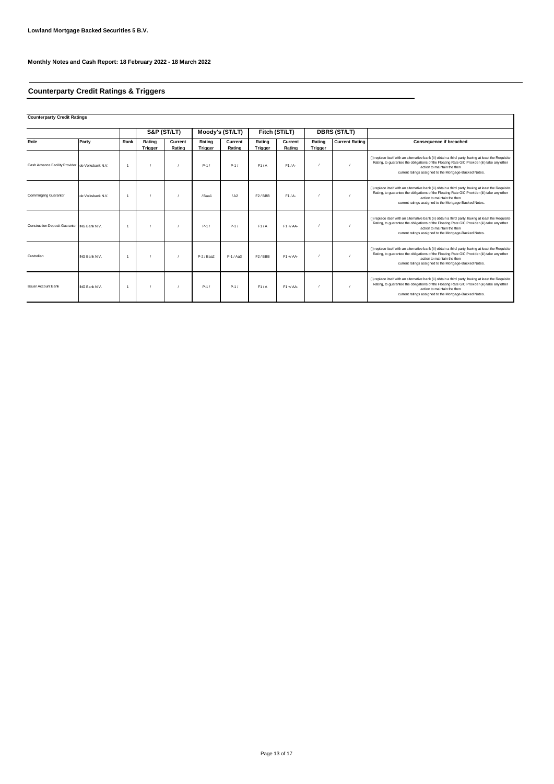# **Counterparty Credit Ratings & Triggers**

**Counterparty Credit Ratings**

|                                                  |                   |                |                   | S&P (ST/LT)       |                   | Moody's (ST/LT)   | Fitch (ST/LT)       |                   |                   |                       |                                                                                                                                                                                                                                                                                              | <b>DBRS (ST/LT)</b> |  |  |  |
|--------------------------------------------------|-------------------|----------------|-------------------|-------------------|-------------------|-------------------|---------------------|-------------------|-------------------|-----------------------|----------------------------------------------------------------------------------------------------------------------------------------------------------------------------------------------------------------------------------------------------------------------------------------------|---------------------|--|--|--|
| Role                                             | Party             | Rank           | Rating<br>Trigger | Current<br>Rating | Rating<br>Trigger | Current<br>Rating | Rating<br>Trigger   | Current<br>Rating | Rating<br>Trigger | <b>Current Rating</b> | Consequence if breached                                                                                                                                                                                                                                                                      |                     |  |  |  |
| Cash Advance Facility Provider de Volksbank N.V. |                   | $\overline{1}$ |                   |                   | $P-1/$            | $P-1/$            | F1/A                | $F1/A-$           |                   |                       | (i) replace itself with an alternative bank (ii) obtain a third party, having at least the Requisite<br>Rating, to quarantee the obligations of the Floating Rate GIC Provider (iii) take any other<br>action to maintain the then<br>current ratings assigned to the Mortgage-Backed Notes. |                     |  |  |  |
| <b>Commingling Guarantor</b>                     | de Volksbank N.V. |                |                   |                   | /Baa1             | / A2              | F <sub>2</sub> /BBB | $F1/A-$           |                   |                       | (i) replace itself with an alternative bank (ii) obtain a third party, having at least the Requisite<br>Rating, to quarantee the obligations of the Floating Rate GIC Provider (iii) take any other<br>action to maintain the then<br>current ratings assigned to the Mortgage-Backed Notes. |                     |  |  |  |
| Construction Deposit Guarantor ING Bank N.V.     |                   | $\overline{1}$ |                   |                   | $P-1/$            | $P-1/$            | F1/A                | $F1 + A$          |                   |                       | (i) replace itself with an alternative bank (ii) obtain a third party, having at least the Requisite<br>Rating, to quarantee the obligations of the Floating Rate GIC Provider (iii) take any other<br>action to maintain the then<br>current ratings assigned to the Mortgage-Backed Notes. |                     |  |  |  |
| Custodian                                        | ING Bank N.V.     | $\overline{1}$ |                   |                   | $P-2$ / Baa2      | $P-1/Aa3$         | F <sub>2</sub> /BBB | $F1 + / AA$       |                   |                       | (i) replace itself with an alternative bank (ii) obtain a third party, having at least the Requisite<br>Rating, to guarantee the obligations of the Floating Rate GIC Provider (iii) take any other<br>action to maintain the then<br>current ratings assigned to the Mortgage-Backed Notes. |                     |  |  |  |
| <b>Issuer Account Bank</b>                       | ING Bank N.V.     |                |                   |                   | $P-1/$            | $P-1/$            | F1/A                | $F1 + A$          |                   |                       | (i) replace itself with an alternative bank (ii) obtain a third party, having at least the Requisite<br>Rating, to quarantee the obligations of the Floating Rate GIC Provider (iii) take any other<br>action to maintain the then<br>current ratings assigned to the Mortgage-Backed Notes. |                     |  |  |  |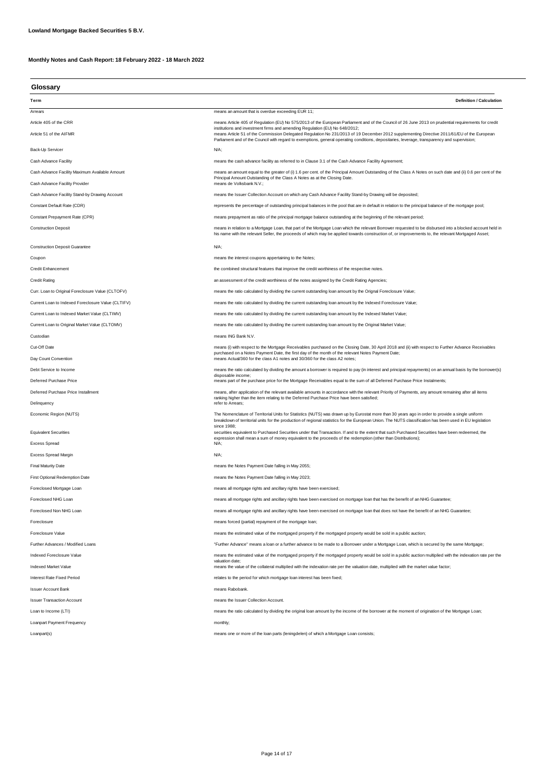| Glossary |  |
|----------|--|

| unuuun y                                           |                                                                                                                                                                                                                                                                                                                                                                           |  |  |
|----------------------------------------------------|---------------------------------------------------------------------------------------------------------------------------------------------------------------------------------------------------------------------------------------------------------------------------------------------------------------------------------------------------------------------------|--|--|
| Term                                               | <b>Definition / Calculation</b>                                                                                                                                                                                                                                                                                                                                           |  |  |
| Arrears                                            | means an amount that is overdue exceeding EUR 11;                                                                                                                                                                                                                                                                                                                         |  |  |
| Article 405 of the CRR                             | means Article 405 of Regulation (EU) No 575/2013 of the European Parliament and of the Council of 26 June 2013 on prudential requirements for credit                                                                                                                                                                                                                      |  |  |
| Article 51 of the AIFMR                            | institutions and investment firms and amending Regulation (EU) No 648/2012;<br>means Article 51 of the Commission Delegated Regulation No 231/2013 of 19 December 2012 supplementing Directive 2011/61/EU of the European<br>Parliament and of the Council with regard to exemptions, general operating conditions, depositaries, leverage, transparency and supervision; |  |  |
| Back-Up Servicer                                   | N/A;                                                                                                                                                                                                                                                                                                                                                                      |  |  |
| Cash Advance Facility                              | means the cash advance facility as referred to in Clause 3.1 of the Cash Advance Facility Agreement;                                                                                                                                                                                                                                                                      |  |  |
| Cash Advance Facility Maximum Available Amount     | means an amount equal to the greater of (i) 1.6 per cent. of the Principal Amount Outstanding of the Class A Notes on such date and (ii) 0.6 per cent of the<br>Principal Amount Outstanding of the Class A Notes as at the Closing Date.                                                                                                                                 |  |  |
| Cash Advance Facility Provider                     | means de Volksbank N.V.;                                                                                                                                                                                                                                                                                                                                                  |  |  |
| Cash Advance Facility Stand-by Drawing Account     | means the Issuer Collection Account on which any Cash Advance Facility Stand-by Drawing will be deposited;                                                                                                                                                                                                                                                                |  |  |
| Constant Default Rate (CDR)                        | represents the percentage of outstanding principal balances in the pool that are in default in relation to the principal balance of the mortgage pool;                                                                                                                                                                                                                    |  |  |
| Constant Prepayment Rate (CPR)                     | means prepayment as ratio of the principal mortgage balance outstanding at the beginning of the relevant period;                                                                                                                                                                                                                                                          |  |  |
| <b>Construction Deposit</b>                        | means in relation to a Mortgage Loan, that part of the Mortgage Loan which the relevant Borrower requested to be disbursed into a blocked account held in<br>his name with the relevant Seller, the proceeds of which may be applied towards construction of, or improvements to, the relevant Mortgaged Asset;                                                           |  |  |
| <b>Construction Deposit Guarantee</b>              | N/A;                                                                                                                                                                                                                                                                                                                                                                      |  |  |
| Coupon                                             | means the interest coupons appertaining to the Notes;                                                                                                                                                                                                                                                                                                                     |  |  |
| <b>Credit Enhancement</b>                          | the combined structural features that improve the credit worthiness of the respective notes.                                                                                                                                                                                                                                                                              |  |  |
| <b>Credit Rating</b>                               | an assessment of the credit worthiness of the notes assigned by the Credit Rating Agencies;                                                                                                                                                                                                                                                                               |  |  |
| Curr. Loan to Original Foreclosure Value (CLTOFV)  | means the ratio calculated by dividing the current outstanding loan amount by the Orignal Foreclosure Value;                                                                                                                                                                                                                                                              |  |  |
| Current Loan to Indexed Foreclosure Value (CLTIFV) | means the ratio calculated by dividing the current outstanding loan amount by the Indexed Foreclosure Value;                                                                                                                                                                                                                                                              |  |  |
| Current Loan to Indexed Market Value (CLTIMV)      | means the ratio calculated by dividing the current outstanding loan amount by the Indexed Market Value;                                                                                                                                                                                                                                                                   |  |  |
| Current Loan to Original Market Value (CLTOMV)     | means the ratio calculated by dividing the current outstanding loan amount by the Original Market Value;                                                                                                                                                                                                                                                                  |  |  |
| Custodian                                          | means ING Bank N.V.                                                                                                                                                                                                                                                                                                                                                       |  |  |
| Cut-Off Date                                       | means (i) with respect to the Mortgage Receivables purchased on the Closing Date, 30 April 2018 and (ii) with respect to Further Advance Receivables                                                                                                                                                                                                                      |  |  |
| Day Count Convention                               | purchased on a Notes Payment Date, the first day of the month of the relevant Notes Payment Date;<br>means Actual/360 for the class A1 notes and 30/360 for the class A2 notes;                                                                                                                                                                                           |  |  |
| Debt Service to Income                             | means the ratio calculated by dividing the amount a borrower is required to pay (in interest and principal repayments) on an annual basis by the borrower(s)                                                                                                                                                                                                              |  |  |
| Deferred Purchase Price                            | disposable income;<br>means part of the purchase price for the Mortgage Receivables equal to the sum of all Deferred Purchase Price Instalments;                                                                                                                                                                                                                          |  |  |
| Deferred Purchase Price Installment                | means, after application of the relevant available amounts in accordance with the relevant Priority of Payments, any amount remaining after all items                                                                                                                                                                                                                     |  |  |
| Delinguency                                        | ranking higher than the item relating to the Deferred Purchase Price have been satisfied;<br>refer to Arrears;                                                                                                                                                                                                                                                            |  |  |
| Economic Region (NUTS)                             | The Nomenclature of Territorial Units for Statistics (NUTS) was drawn up by Eurostat more than 30 years ago in order to provide a single uniform<br>breakdown of territorial units for the production of regional statistics for the European Union. The NUTS classification has been used in EU legislation                                                              |  |  |
| <b>Equivalent Securities</b>                       | since 1988;<br>securities equivalent to Purchased Securities under that Transaction. If and to the extent that such Purchased Securities have been redeemed, the<br>expression shall mean a sum of money equivalent to the proceeds of the redemption (other than Distributions);                                                                                         |  |  |
| <b>Excess Spread</b>                               | N/A;                                                                                                                                                                                                                                                                                                                                                                      |  |  |
| <b>Excess Spread Margin</b>                        | $N/A$ ;                                                                                                                                                                                                                                                                                                                                                                   |  |  |
| <b>Final Maturity Date</b>                         | means the Notes Payment Date falling in May 2055;                                                                                                                                                                                                                                                                                                                         |  |  |
| <b>First Optional Redemption Date</b>              | means the Notes Payment Date falling in May 2023;                                                                                                                                                                                                                                                                                                                         |  |  |
| Foreclosed Mortgage Loan                           | means all mortgage rights and ancillary rights have been exercised;                                                                                                                                                                                                                                                                                                       |  |  |
| Foreclosed NHG Loan                                | means all mortgage rights and ancillary rights have been exercised on mortgage loan that has the benefit of an NHG Guarantee;                                                                                                                                                                                                                                             |  |  |
| Foreclosed Non NHG Loan                            | means all mortgage rights and ancillary rights have been exercised on mortgage loan that does not have the benefit of an NHG Guarantee;                                                                                                                                                                                                                                   |  |  |
| Foreclosure                                        | means forced (partial) repayment of the mortgage loan;                                                                                                                                                                                                                                                                                                                    |  |  |
| Foreclosure Value                                  | means the estimated value of the mortgaged property if the mortgaged property would be sold in a public auction;                                                                                                                                                                                                                                                          |  |  |
| Further Advances / Modified Loans                  | "Further Advance" means a loan or a further advance to be made to a Borrower under a Mortgage Loan, which is secured by the same Mortgage;                                                                                                                                                                                                                                |  |  |
| Indexed Foreclosure Value                          | means the estimated value of the mortgaged property if the mortgaged property would be sold in a public auction multiplied with the indexation rate per the                                                                                                                                                                                                               |  |  |
| <b>Indexed Market Value</b>                        | valuation date;<br>means the value of the collateral multiplied with the indexation rate per the valuation date, multiplied with the market value factor;                                                                                                                                                                                                                 |  |  |
| Interest Rate Fixed Period                         | relates to the period for which mortgage loan interest has been fixed;                                                                                                                                                                                                                                                                                                    |  |  |
| <b>Issuer Account Bank</b>                         | means Rabobank.                                                                                                                                                                                                                                                                                                                                                           |  |  |
| <b>Issuer Transaction Account</b>                  | means the Issuer Collection Account.                                                                                                                                                                                                                                                                                                                                      |  |  |
| Loan to Income (LTI)                               | means the ratio calculated by dividing the original loan amount by the income of the borrower at the moment of origination of the Mortgage Loan;                                                                                                                                                                                                                          |  |  |

Loanpart Payment Frequency monthly;

Loanpart(s) extending the loan parts (leningdelen) of which a Mortgage Loan consists;

Page 14 of 17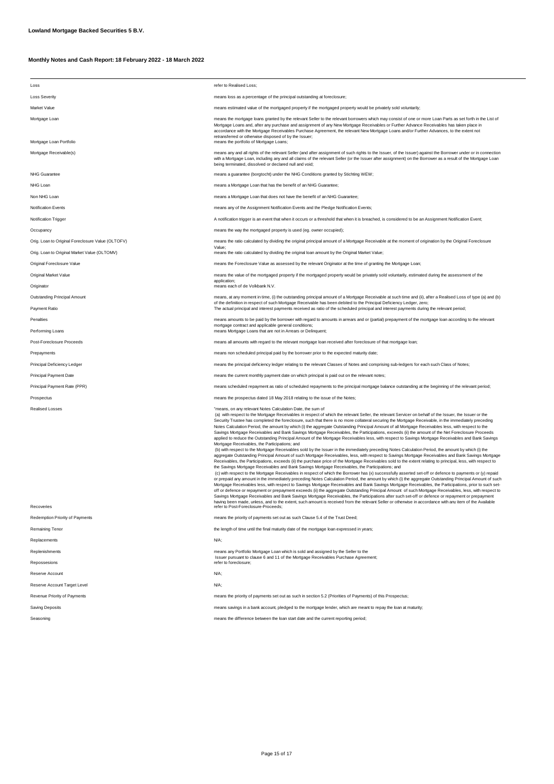| Loss                                              | refer to Realised Loss;                                                                                                                                                                                                                                                                                                                                                                                                                                                                                                                                                                                                                                                                                                                                                                                                                                                                                                                                                                                                                                                                                                                                                                                                                                                                                                                                                                                                                                                                                                                                                                                                                                                                                                                                                                                                                                                                                                                                                                                                                                                                                                                                                                                                                                                |  |  |  |
|---------------------------------------------------|------------------------------------------------------------------------------------------------------------------------------------------------------------------------------------------------------------------------------------------------------------------------------------------------------------------------------------------------------------------------------------------------------------------------------------------------------------------------------------------------------------------------------------------------------------------------------------------------------------------------------------------------------------------------------------------------------------------------------------------------------------------------------------------------------------------------------------------------------------------------------------------------------------------------------------------------------------------------------------------------------------------------------------------------------------------------------------------------------------------------------------------------------------------------------------------------------------------------------------------------------------------------------------------------------------------------------------------------------------------------------------------------------------------------------------------------------------------------------------------------------------------------------------------------------------------------------------------------------------------------------------------------------------------------------------------------------------------------------------------------------------------------------------------------------------------------------------------------------------------------------------------------------------------------------------------------------------------------------------------------------------------------------------------------------------------------------------------------------------------------------------------------------------------------------------------------------------------------------------------------------------------------|--|--|--|
| <b>Loss Severity</b>                              | means loss as a percentage of the principal outstanding at foreclosure;                                                                                                                                                                                                                                                                                                                                                                                                                                                                                                                                                                                                                                                                                                                                                                                                                                                                                                                                                                                                                                                                                                                                                                                                                                                                                                                                                                                                                                                                                                                                                                                                                                                                                                                                                                                                                                                                                                                                                                                                                                                                                                                                                                                                |  |  |  |
| Market Value                                      | means estimated value of the mortgaged property if the mortgaged property would be privately sold voluntarily;                                                                                                                                                                                                                                                                                                                                                                                                                                                                                                                                                                                                                                                                                                                                                                                                                                                                                                                                                                                                                                                                                                                                                                                                                                                                                                                                                                                                                                                                                                                                                                                                                                                                                                                                                                                                                                                                                                                                                                                                                                                                                                                                                         |  |  |  |
| Mortgage Loan                                     | means the mortgage loans granted by the relevant Seller to the relevant borrowers which may consist of one or more Loan Parts as set forth in the List of<br>Mortgage Loans and, after any purchase and assignment of any New Mortgage Receivables or Further Advance Receivables has taken place in<br>accordance with the Mortgage Receivables Purchase Agreement, the relevant New Mortgage Loans and/or Further Advances, to the extent not<br>retransferred or otherwise disposed of by the Issuer;                                                                                                                                                                                                                                                                                                                                                                                                                                                                                                                                                                                                                                                                                                                                                                                                                                                                                                                                                                                                                                                                                                                                                                                                                                                                                                                                                                                                                                                                                                                                                                                                                                                                                                                                                               |  |  |  |
| Mortgage Loan Portfolio                           | means the portfolio of Mortgage Loans;                                                                                                                                                                                                                                                                                                                                                                                                                                                                                                                                                                                                                                                                                                                                                                                                                                                                                                                                                                                                                                                                                                                                                                                                                                                                                                                                                                                                                                                                                                                                                                                                                                                                                                                                                                                                                                                                                                                                                                                                                                                                                                                                                                                                                                 |  |  |  |
| Mortgage Receivable(s)                            | means any and all rights of the relevant Seller (and after assignment of such rights to the Issuer, of the Issuer) against the Borrower under or in connection<br>with a Mortgage Loan, including any and all claims of the relevant Seller (or the Issuer after assignment) on the Borrower as a result of the Mortgage Loan<br>being terminated, dissolved or declared null and void;                                                                                                                                                                                                                                                                                                                                                                                                                                                                                                                                                                                                                                                                                                                                                                                                                                                                                                                                                                                                                                                                                                                                                                                                                                                                                                                                                                                                                                                                                                                                                                                                                                                                                                                                                                                                                                                                                |  |  |  |
| <b>NHG Guarantee</b>                              | means a guarantee (borgtocht) under the NHG Conditions granted by Stichting WEW;                                                                                                                                                                                                                                                                                                                                                                                                                                                                                                                                                                                                                                                                                                                                                                                                                                                                                                                                                                                                                                                                                                                                                                                                                                                                                                                                                                                                                                                                                                                                                                                                                                                                                                                                                                                                                                                                                                                                                                                                                                                                                                                                                                                       |  |  |  |
| NHG Loan                                          | means a Mortgage Loan that has the benefit of an NHG Guarantee;                                                                                                                                                                                                                                                                                                                                                                                                                                                                                                                                                                                                                                                                                                                                                                                                                                                                                                                                                                                                                                                                                                                                                                                                                                                                                                                                                                                                                                                                                                                                                                                                                                                                                                                                                                                                                                                                                                                                                                                                                                                                                                                                                                                                        |  |  |  |
| Non NHG Loan                                      | means a Mortgage Loan that does not have the benefit of an NHG Guarantee;                                                                                                                                                                                                                                                                                                                                                                                                                                                                                                                                                                                                                                                                                                                                                                                                                                                                                                                                                                                                                                                                                                                                                                                                                                                                                                                                                                                                                                                                                                                                                                                                                                                                                                                                                                                                                                                                                                                                                                                                                                                                                                                                                                                              |  |  |  |
| <b>Notification Events</b>                        | means any of the Assignment Notification Events and the Pledge Notification Events;                                                                                                                                                                                                                                                                                                                                                                                                                                                                                                                                                                                                                                                                                                                                                                                                                                                                                                                                                                                                                                                                                                                                                                                                                                                                                                                                                                                                                                                                                                                                                                                                                                                                                                                                                                                                                                                                                                                                                                                                                                                                                                                                                                                    |  |  |  |
| Notification Trigger                              | A notification trigger is an event that when it occurs or a threshold that when it is breached, is considered to be an Assignment Notification Event;                                                                                                                                                                                                                                                                                                                                                                                                                                                                                                                                                                                                                                                                                                                                                                                                                                                                                                                                                                                                                                                                                                                                                                                                                                                                                                                                                                                                                                                                                                                                                                                                                                                                                                                                                                                                                                                                                                                                                                                                                                                                                                                  |  |  |  |
| Occupancy                                         | means the way the mortgaged property is used (eg. owner occupied);                                                                                                                                                                                                                                                                                                                                                                                                                                                                                                                                                                                                                                                                                                                                                                                                                                                                                                                                                                                                                                                                                                                                                                                                                                                                                                                                                                                                                                                                                                                                                                                                                                                                                                                                                                                                                                                                                                                                                                                                                                                                                                                                                                                                     |  |  |  |
| Orig. Loan to Original Foreclosure Value (OLTOFV) | means the ratio calculated by dividing the original principal amount of a Mortgage Receivable at the moment of origination by the Original Foreclosure                                                                                                                                                                                                                                                                                                                                                                                                                                                                                                                                                                                                                                                                                                                                                                                                                                                                                                                                                                                                                                                                                                                                                                                                                                                                                                                                                                                                                                                                                                                                                                                                                                                                                                                                                                                                                                                                                                                                                                                                                                                                                                                 |  |  |  |
| Orig. Loan to Original Market Value (OLTOMV)      | Value:<br>means the ratio calculated by dividing the original loan amount by the Original Market Value;                                                                                                                                                                                                                                                                                                                                                                                                                                                                                                                                                                                                                                                                                                                                                                                                                                                                                                                                                                                                                                                                                                                                                                                                                                                                                                                                                                                                                                                                                                                                                                                                                                                                                                                                                                                                                                                                                                                                                                                                                                                                                                                                                                |  |  |  |
| Original Foreclosure Value                        | means the Foreclosure Value as assessed by the relevant Originator at the time of granting the Mortgage Loan;                                                                                                                                                                                                                                                                                                                                                                                                                                                                                                                                                                                                                                                                                                                                                                                                                                                                                                                                                                                                                                                                                                                                                                                                                                                                                                                                                                                                                                                                                                                                                                                                                                                                                                                                                                                                                                                                                                                                                                                                                                                                                                                                                          |  |  |  |
| <b>Original Market Value</b>                      | means the value of the mortgaged property if the mortgaged property would be privately sold voluntarily, estimated during the assessment of the                                                                                                                                                                                                                                                                                                                                                                                                                                                                                                                                                                                                                                                                                                                                                                                                                                                                                                                                                                                                                                                                                                                                                                                                                                                                                                                                                                                                                                                                                                                                                                                                                                                                                                                                                                                                                                                                                                                                                                                                                                                                                                                        |  |  |  |
| Originator                                        | application;<br>means each of de Volkbank N.V.                                                                                                                                                                                                                                                                                                                                                                                                                                                                                                                                                                                                                                                                                                                                                                                                                                                                                                                                                                                                                                                                                                                                                                                                                                                                                                                                                                                                                                                                                                                                                                                                                                                                                                                                                                                                                                                                                                                                                                                                                                                                                                                                                                                                                         |  |  |  |
| <b>Outstanding Principal Amount</b>               | means, at any moment in time, (i) the outstanding principal amount of a Mortgage Receivable at such time and (ii), after a Realised Loss of type (a) and (b)                                                                                                                                                                                                                                                                                                                                                                                                                                                                                                                                                                                                                                                                                                                                                                                                                                                                                                                                                                                                                                                                                                                                                                                                                                                                                                                                                                                                                                                                                                                                                                                                                                                                                                                                                                                                                                                                                                                                                                                                                                                                                                           |  |  |  |
| Payment Ratio                                     | of the definition in respect of such Mortgage Receivable has been debited to the Principal Deficiency Ledger, zero;<br>The actual principal and interest payments received as ratio of the scheduled principal and interest payments during the relevant period;                                                                                                                                                                                                                                                                                                                                                                                                                                                                                                                                                                                                                                                                                                                                                                                                                                                                                                                                                                                                                                                                                                                                                                                                                                                                                                                                                                                                                                                                                                                                                                                                                                                                                                                                                                                                                                                                                                                                                                                                       |  |  |  |
| Penalties                                         | means amounts to be paid by the borrower with regard to amounts in arrears and or (partial) prepayment of the mortgage loan according to the relevant                                                                                                                                                                                                                                                                                                                                                                                                                                                                                                                                                                                                                                                                                                                                                                                                                                                                                                                                                                                                                                                                                                                                                                                                                                                                                                                                                                                                                                                                                                                                                                                                                                                                                                                                                                                                                                                                                                                                                                                                                                                                                                                  |  |  |  |
| Performing Loans                                  | mortgage contract and applicable general conditions;<br>means Mortgage Loans that are not in Arrears or Delinquent;                                                                                                                                                                                                                                                                                                                                                                                                                                                                                                                                                                                                                                                                                                                                                                                                                                                                                                                                                                                                                                                                                                                                                                                                                                                                                                                                                                                                                                                                                                                                                                                                                                                                                                                                                                                                                                                                                                                                                                                                                                                                                                                                                    |  |  |  |
| Post-Foreclosure Proceeds                         | means all amounts with regard to the relevant mortgage loan received after foreclosure of that mortgage loan;                                                                                                                                                                                                                                                                                                                                                                                                                                                                                                                                                                                                                                                                                                                                                                                                                                                                                                                                                                                                                                                                                                                                                                                                                                                                                                                                                                                                                                                                                                                                                                                                                                                                                                                                                                                                                                                                                                                                                                                                                                                                                                                                                          |  |  |  |
| Prepayments                                       | means non scheduled principal paid by the borrower prior to the expected maturity date;                                                                                                                                                                                                                                                                                                                                                                                                                                                                                                                                                                                                                                                                                                                                                                                                                                                                                                                                                                                                                                                                                                                                                                                                                                                                                                                                                                                                                                                                                                                                                                                                                                                                                                                                                                                                                                                                                                                                                                                                                                                                                                                                                                                |  |  |  |
| Principal Deficiency Ledger                       | means the principal deficiency ledger relating to the relevant Classes of Notes and comprising sub-ledgers for each such Class of Notes;                                                                                                                                                                                                                                                                                                                                                                                                                                                                                                                                                                                                                                                                                                                                                                                                                                                                                                                                                                                                                                                                                                                                                                                                                                                                                                                                                                                                                                                                                                                                                                                                                                                                                                                                                                                                                                                                                                                                                                                                                                                                                                                               |  |  |  |
| <b>Principal Payment Date</b>                     | means the current monthly payment date on which principal is paid out on the relevant notes;                                                                                                                                                                                                                                                                                                                                                                                                                                                                                                                                                                                                                                                                                                                                                                                                                                                                                                                                                                                                                                                                                                                                                                                                                                                                                                                                                                                                                                                                                                                                                                                                                                                                                                                                                                                                                                                                                                                                                                                                                                                                                                                                                                           |  |  |  |
| Principal Payment Rate (PPR)                      | means scheduled repayment as ratio of scheduled repayments to the principal mortgage balance outstanding at the beginning of the relevant period;                                                                                                                                                                                                                                                                                                                                                                                                                                                                                                                                                                                                                                                                                                                                                                                                                                                                                                                                                                                                                                                                                                                                                                                                                                                                                                                                                                                                                                                                                                                                                                                                                                                                                                                                                                                                                                                                                                                                                                                                                                                                                                                      |  |  |  |
| Prospectus                                        | means the prospectus dated 18 May 2018 relating to the issue of the Notes;                                                                                                                                                                                                                                                                                                                                                                                                                                                                                                                                                                                                                                                                                                                                                                                                                                                                                                                                                                                                                                                                                                                                                                                                                                                                                                                                                                                                                                                                                                                                                                                                                                                                                                                                                                                                                                                                                                                                                                                                                                                                                                                                                                                             |  |  |  |
| <b>Realised Losses</b>                            | "means, on any relevant Notes Calculation Date, the sum of<br>(a) with respect to the Mortgage Receivables in respect of which the relevant Seller, the relevant Servicer on behalf of the Issuer, the Issuer or the<br>Security Trustee has completed the foreclosure, such that there is no more collateral securing the Mortgage Receivable, in the immediately preceding<br>Notes Calculation Period, the amount by which (i) the aggregate Outstanding Principal Amount of all Mortgage Receivables less, with respect to the<br>Savings Mortgage Receivables and Bank Savings Mortgage Receivables, the Participations, exceeds (ii) the amount of the Net Foreclosure Proceeds<br>applied to reduce the Outstanding Principal Amount of the Mortgage Receivables less, with respect to Savings Mortgage Receivables and Bank Savings<br>Mortgage Receivables, the Participations; and<br>(b) with respect to the Mortgage Receivables sold by the Issuer in the immediately preceding Notes Calculation Period, the amount by which (i) the<br>aggregate Outstanding Principal Amount of such Mortgage Receivables, less, with respect to Savings Mortgage Receivables and Bank Savings Mortgage<br>Receivables, the Participations, exceeds (ii) the purchase price of the Mortgage Receivables sold to the extent relating to principal, less, with respect to<br>the Savings Mortgage Receivables and Bank Savings Mortgage Receivables, the Participations; and<br>(c) with respect to the Mortgage Receivables in respect of which the Borrower has (x) successfully asserted set-off or defence to payments or (y) repaid<br>or prepaid any amount in the immediately preceding Notes Calculation Period, the amount by which (i) the aggregate Outstanding Principal Amount of such<br>Mortgage Receivables less, with respect to Savings Mortgage Receivables and Bank Savings Mortgage Receivables, the Participations, prior to such set-<br>off or defence or repayment or prepayment exceeds (ii) the aggregate Outstanding Principal Amount of such Mortgage Receivables, less, with respect to<br>Savings Mortgage Receivables and Bank Savings Mortgage Receivables, the Participations after such set-off or defence or repayment or prepayment |  |  |  |
| Recoveries                                        | having been made, unless, and to the extent, such amount is received from the relevant Seller or otherwise in accordance with any item of the Available<br>refer to Post-Foreclosure-Proceeds;                                                                                                                                                                                                                                                                                                                                                                                                                                                                                                                                                                                                                                                                                                                                                                                                                                                                                                                                                                                                                                                                                                                                                                                                                                                                                                                                                                                                                                                                                                                                                                                                                                                                                                                                                                                                                                                                                                                                                                                                                                                                         |  |  |  |
| <b>Redemption Priority of Payments</b>            | means the priority of payments set out as such Clause 5.4 of the Trust Deed;                                                                                                                                                                                                                                                                                                                                                                                                                                                                                                                                                                                                                                                                                                                                                                                                                                                                                                                                                                                                                                                                                                                                                                                                                                                                                                                                                                                                                                                                                                                                                                                                                                                                                                                                                                                                                                                                                                                                                                                                                                                                                                                                                                                           |  |  |  |
| Remaining Tenor                                   | the length of time until the final maturity date of the mortgage loan expressed in years;                                                                                                                                                                                                                                                                                                                                                                                                                                                                                                                                                                                                                                                                                                                                                                                                                                                                                                                                                                                                                                                                                                                                                                                                                                                                                                                                                                                                                                                                                                                                                                                                                                                                                                                                                                                                                                                                                                                                                                                                                                                                                                                                                                              |  |  |  |
| Replacements                                      | N/A;                                                                                                                                                                                                                                                                                                                                                                                                                                                                                                                                                                                                                                                                                                                                                                                                                                                                                                                                                                                                                                                                                                                                                                                                                                                                                                                                                                                                                                                                                                                                                                                                                                                                                                                                                                                                                                                                                                                                                                                                                                                                                                                                                                                                                                                                   |  |  |  |
| Replenishments                                    | means any Portfolio Mortgage Loan which is sold and assigned by the Seller to the<br>Issuer pursuant to clause 6 and 11 of the Mortgage Receivables Purchase Agreement;                                                                                                                                                                                                                                                                                                                                                                                                                                                                                                                                                                                                                                                                                                                                                                                                                                                                                                                                                                                                                                                                                                                                                                                                                                                                                                                                                                                                                                                                                                                                                                                                                                                                                                                                                                                                                                                                                                                                                                                                                                                                                                |  |  |  |
| Repossesions                                      | refer to foreclosure;                                                                                                                                                                                                                                                                                                                                                                                                                                                                                                                                                                                                                                                                                                                                                                                                                                                                                                                                                                                                                                                                                                                                                                                                                                                                                                                                                                                                                                                                                                                                                                                                                                                                                                                                                                                                                                                                                                                                                                                                                                                                                                                                                                                                                                                  |  |  |  |
| Reserve Account                                   | N/A;                                                                                                                                                                                                                                                                                                                                                                                                                                                                                                                                                                                                                                                                                                                                                                                                                                                                                                                                                                                                                                                                                                                                                                                                                                                                                                                                                                                                                                                                                                                                                                                                                                                                                                                                                                                                                                                                                                                                                                                                                                                                                                                                                                                                                                                                   |  |  |  |
| Reserve Account Target Level                      | $N/A$ ;                                                                                                                                                                                                                                                                                                                                                                                                                                                                                                                                                                                                                                                                                                                                                                                                                                                                                                                                                                                                                                                                                                                                                                                                                                                                                                                                                                                                                                                                                                                                                                                                                                                                                                                                                                                                                                                                                                                                                                                                                                                                                                                                                                                                                                                                |  |  |  |
| Revenue Priority of Payments                      | means the priority of payments set out as such in section 5.2 (Priorities of Payments) of this Prospectus;                                                                                                                                                                                                                                                                                                                                                                                                                                                                                                                                                                                                                                                                                                                                                                                                                                                                                                                                                                                                                                                                                                                                                                                                                                                                                                                                                                                                                                                                                                                                                                                                                                                                                                                                                                                                                                                                                                                                                                                                                                                                                                                                                             |  |  |  |
| <b>Saving Deposits</b>                            | means savings in a bank account, pledged to the mortgage lender, which are meant to repay the loan at maturity;                                                                                                                                                                                                                                                                                                                                                                                                                                                                                                                                                                                                                                                                                                                                                                                                                                                                                                                                                                                                                                                                                                                                                                                                                                                                                                                                                                                                                                                                                                                                                                                                                                                                                                                                                                                                                                                                                                                                                                                                                                                                                                                                                        |  |  |  |

Page 15 of 17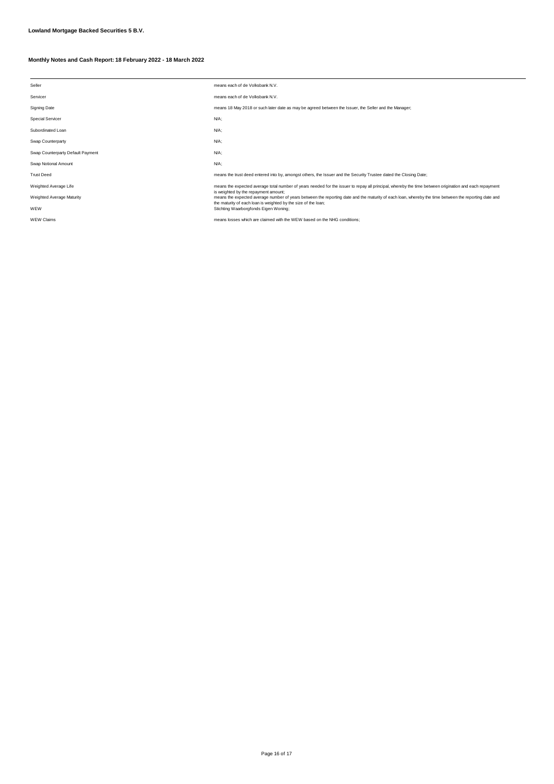| Seller                            | means each of de Volksbank N.V.                                                                                                                                                              |
|-----------------------------------|----------------------------------------------------------------------------------------------------------------------------------------------------------------------------------------------|
| Servicer                          | means each of de Volksbank N.V.                                                                                                                                                              |
| <b>Signing Date</b>               | means 18 May 2018 or such later date as may be agreed between the Issuer, the Seller and the Manager;                                                                                        |
| <b>Special Servicer</b>           | $N/A$ ;                                                                                                                                                                                      |
| Subordinated Loan                 | N/A;                                                                                                                                                                                         |
| Swap Counterparty                 | $N/A$ ;                                                                                                                                                                                      |
| Swap Counterparty Default Payment | $N/A$ ;                                                                                                                                                                                      |
| Swap Notional Amount              | $N/A$ ;                                                                                                                                                                                      |
| <b>Trust Deed</b>                 | means the trust deed entered into by, amongst others, the Issuer and the Security Trustee dated the Closing Date;                                                                            |
| Weighted Average Life             | means the expected average total number of years needed for the issuer to repay all principal, whereby the time between origination and each repayment                                       |
| <b>Weighted Average Maturity</b>  | is weighted by the repayment amount;<br>means the expected average number of years between the reporting date and the maturity of each loan, whereby the time between the reporting date and |
| WEW                               | the maturity of each loan is weighted by the size of the loan;<br>Stichting Waarborgfonds Eigen Woning;                                                                                      |
| <b>WEW Claims</b>                 | means losses which are claimed with the WEW based on the NHG conditions;                                                                                                                     |
|                                   |                                                                                                                                                                                              |

Page 16 of 17